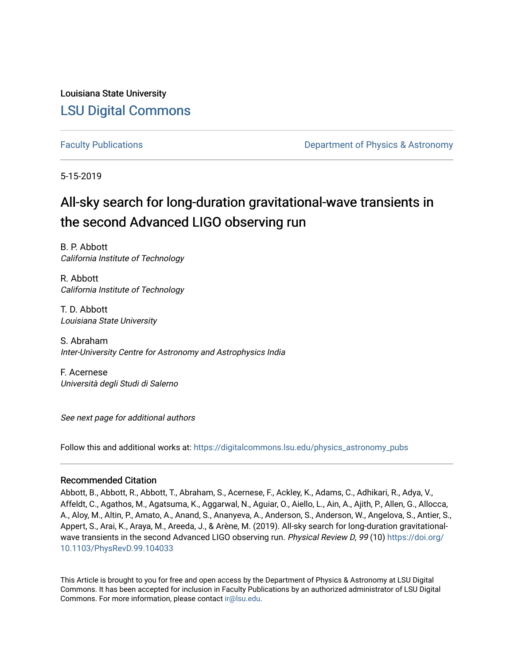Louisiana State University [LSU Digital Commons](https://digitalcommons.lsu.edu/)

[Faculty Publications](https://digitalcommons.lsu.edu/physics_astronomy_pubs) **Example 2** Constant Department of Physics & Astronomy

5-15-2019

# All-sky search for long-duration gravitational-wave transients in the second Advanced LIGO observing run

B. P. Abbott California Institute of Technology

R. Abbott California Institute of Technology

T. D. Abbott Louisiana State University

S. Abraham Inter-University Centre for Astronomy and Astrophysics India

F. Acernese Università degli Studi di Salerno

See next page for additional authors

Follow this and additional works at: [https://digitalcommons.lsu.edu/physics\\_astronomy\\_pubs](https://digitalcommons.lsu.edu/physics_astronomy_pubs?utm_source=digitalcommons.lsu.edu%2Fphysics_astronomy_pubs%2F1027&utm_medium=PDF&utm_campaign=PDFCoverPages) 

# Recommended Citation

Abbott, B., Abbott, R., Abbott, T., Abraham, S., Acernese, F., Ackley, K., Adams, C., Adhikari, R., Adya, V., Affeldt, C., Agathos, M., Agatsuma, K., Aggarwal, N., Aguiar, O., Aiello, L., Ain, A., Ajith, P., Allen, G., Allocca, A., Aloy, M., Altin, P., Amato, A., Anand, S., Ananyeva, A., Anderson, S., Anderson, W., Angelova, S., Antier, S., Appert, S., Arai, K., Araya, M., Areeda, J., & Arène, M. (2019). All-sky search for long-duration gravitationalwave transients in the second Advanced LIGO observing run. Physical Review D, 99 (10) [https://doi.org/](https://doi.org/10.1103/PhysRevD.99.104033) [10.1103/PhysRevD.99.104033](https://doi.org/10.1103/PhysRevD.99.104033) 

This Article is brought to you for free and open access by the Department of Physics & Astronomy at LSU Digital Commons. It has been accepted for inclusion in Faculty Publications by an authorized administrator of LSU Digital Commons. For more information, please contact [ir@lsu.edu](mailto:ir@lsu.edu).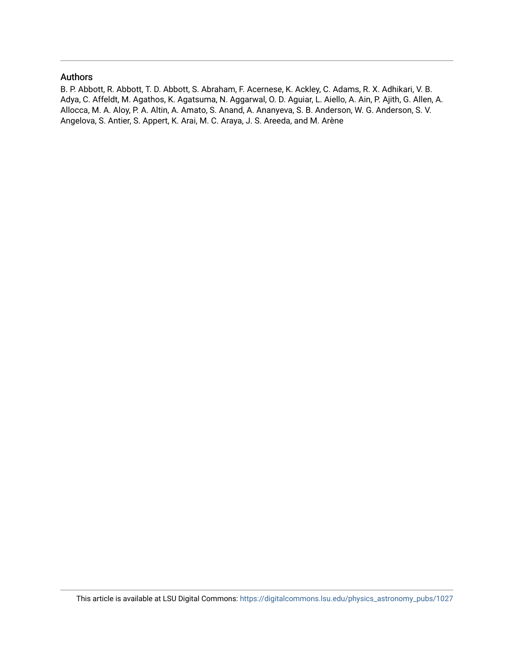# Authors

B. P. Abbott, R. Abbott, T. D. Abbott, S. Abraham, F. Acernese, K. Ackley, C. Adams, R. X. Adhikari, V. B. Adya, C. Affeldt, M. Agathos, K. Agatsuma, N. Aggarwal, O. D. Aguiar, L. Aiello, A. Ain, P. Ajith, G. Allen, A. Allocca, M. A. Aloy, P. A. Altin, A. Amato, S. Anand, A. Ananyeva, S. B. Anderson, W. G. Anderson, S. V. Angelova, S. Antier, S. Appert, K. Arai, M. C. Araya, J. S. Areeda, and M. Arène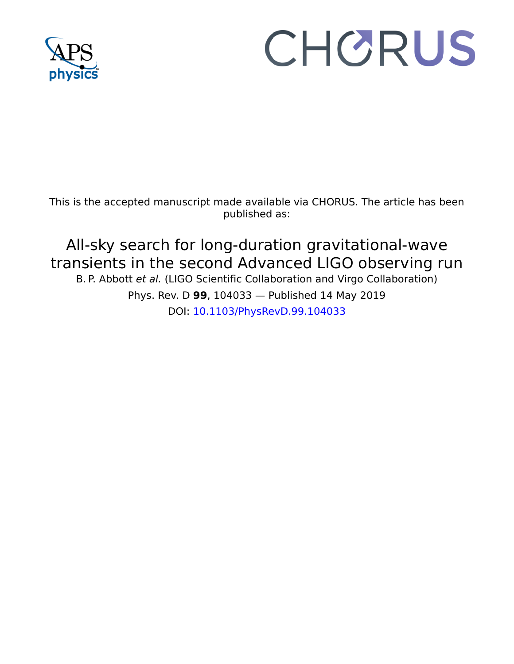

# CHORUS

This is the accepted manuscript made available via CHORUS. The article has been published as:

# All-sky search for long-duration gravitational-wave transients in the second Advanced LIGO observing run B. P. Abbott et al. (LIGO Scientific Collaboration and Virgo Collaboration)

Phys. Rev. D **99**, 104033 — Published 14 May 2019 DOI: [10.1103/PhysRevD.99.104033](http://dx.doi.org/10.1103/PhysRevD.99.104033)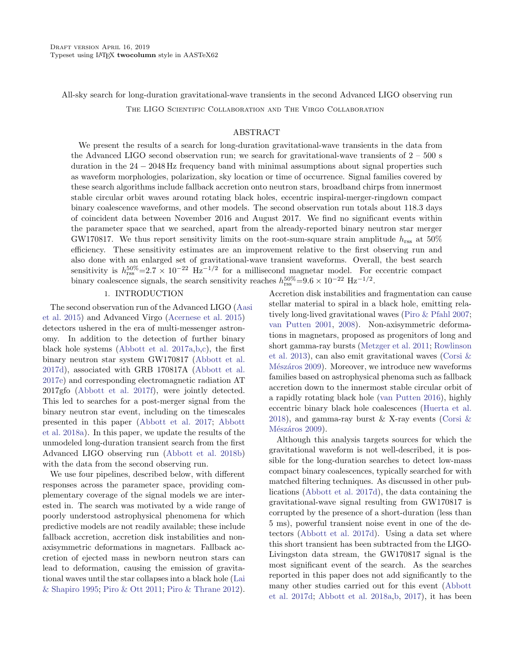All-sky search for long-duration gravitational-wave transients in the second Advanced LIGO observing run

The LIGO Scientific Collaboration and The Virgo Collaboration

### ABSTRACT

We present the results of a search for long-duration gravitational-wave transients in the data from the Advanced LIGO second observation run; we search for gravitational-wave transients of  $2 - 500$  s duration in the 24 − 2048 Hz frequency band with minimal assumptions about signal properties such as waveform morphologies, polarization, sky location or time of occurrence. Signal families covered by these search algorithms include fallback accretion onto neutron stars, broadband chirps from innermost stable circular orbit waves around rotating black holes, eccentric inspiral-merger-ringdown compact binary coalescence waveforms, and other models. The second observation run totals about 118.3 days of coincident data between November 2016 and August 2017. We find no significant events within the parameter space that we searched, apart from the already-reported binary neutron star merger GW170817. We thus report sensitivity limits on the root-sum-square strain amplitude  $h_{\rm rss}$  at 50% efficiency. These sensitivity estimates are an improvement relative to the first observing run and also done with an enlarged set of gravitational-wave transient waveforms. Overall, the best search sensitivity is  $h_{\text{rss}}^{50\%}=2.7\times10^{-22}$  Hz<sup>-1/2</sup> for a millisecond magnetar model. For eccentric compact binary coalescence signals, the search sensitivity reaches  $h_{\text{rss}}^{50\%}=9.6\times10^{-22} \text{ Hz}^{-1/2}$ .

# 1. INTRODUCTION

The second observation run of the Advanced LIGO [\(Aa](#page-8-0)si [et al.](#page-8-0) [2015\)](#page-8-0) and Advanced Virgo [\(Acernese et al.](#page-8-1) [2015\)](#page-8-1) detectors ushered in the era of multi-messenger astronomy. In addition to the detection of further binary black hole systems [\(Abbott et al.](#page-8-2) [2017a,](#page-8-2)[b,](#page-8-3)[c\)](#page-8-4), the first binary neutron star system GW170817 [\(Abbott et al.](#page-8-5) [2017d\)](#page-8-5), associated with GRB 170817A [\(Abbott et al.](#page-8-6) [2017e\)](#page-8-6) and corresponding electromagnetic radiation AT 2017gfo [\(Abbott et al.](#page-8-7) [2017f\)](#page-8-7), were jointly detected. This led to searches for a post-merger signal from the binary neutron star event, including on the timescales presented in this paper [\(Abbott et al.](#page-8-8) [2017;](#page-8-8) [Abbott](#page-8-9) [et al.](#page-8-9) [2018a\)](#page-8-9). In this paper, we update the results of the unmodeled long-duration transient search from the first Advanced LIGO observing run [\(Abbott et al.](#page-8-10) [2018b\)](#page-8-10) with the data from the second observing run.

We use four pipelines, described below, with different responses across the parameter space, providing complementary coverage of the signal models we are interested in. The search was motivated by a wide range of poorly understood astrophysical phenomena for which predictive models are not readily available; these include fallback accretion, accretion disk instabilities and nonaxisymmetric deformations in magnetars. Fallback accretion of ejected mass in newborn neutron stars can lead to deformation, causing the emission of gravitational waves until the star collapses into a black hole [\(Lai](#page-8-11) [& Shapiro](#page-8-11) [1995;](#page-8-11) [Piro & Ott](#page-9-0) [2011;](#page-9-0) [Piro & Thrane](#page-9-1) [2012\)](#page-9-1).

Accretion disk instabilities and fragmentation can cause stellar material to spiral in a black hole, emitting relatively long-lived gravitational waves [\(Piro & Pfahl](#page-9-2) [2007;](#page-9-2) [van Putten](#page-9-3) [2001,](#page-9-3) [2008\)](#page-9-4). Non-axisymmetric deformations in magnetars, proposed as progenitors of long and short gamma-ray bursts [\(Metzger et al.](#page-9-5) [2011;](#page-9-5) [Rowlinson](#page-9-6) [et al.](#page-9-6) [2013\)](#page-9-6), can also emit gravitational waves [\(Corsi &](#page-8-12) Mészáros [2009\)](#page-8-12). Moreover, we introduce new waveforms families based on astrophysical phenoma such as fallback accretion down to the innermost stable circular orbit of a rapidly rotating black hole [\(van Putten](#page-9-7) [2016\)](#page-9-7), highly eccentric binary black hole coalescences [\(Huerta et al.](#page-8-13) [2018\)](#page-8-13), and gamma-ray burst  $&$  X-ray events (Corsi  $&$ Mészáros [2009\)](#page-8-12).

Although this analysis targets sources for which the gravitational waveform is not well-described, it is possible for the long-duration searches to detect low-mass compact binary coalescences, typically searched for with matched filtering techniques. As discussed in other publications [\(Abbott et al.](#page-8-5) [2017d\)](#page-8-5), the data containing the gravitational-wave signal resulting from GW170817 is corrupted by the presence of a short-duration (less than 5 ms), powerful transient noise event in one of the detectors [\(Abbott et al.](#page-8-5) [2017d\)](#page-8-5). Using a data set where this short transient has been subtracted from the LIGO-Livingston data stream, the GW170817 signal is the most significant event of the search. As the searches reported in this paper does not add significantly to the many other studies carried out for this event [\(Abbott](#page-8-5) [et al.](#page-8-5) [2017d;](#page-8-5) [Abbott et al.](#page-8-14) [2018a,](#page-8-14)[b,](#page-8-15) [2017\)](#page-8-8), it has been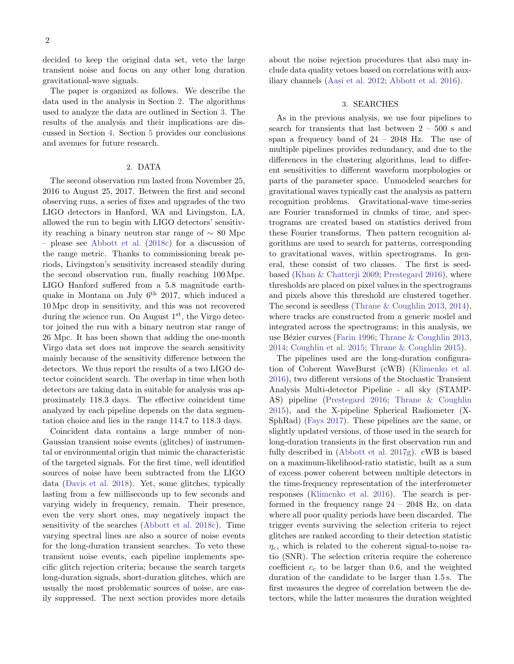decided to keep the original data set, veto the large transient noise and focus on any other long duration gravitational-wave signals.

The paper is organized as follows. We describe the data used in the analysis in Section [2.](#page-4-0) The algorithms used to analyze the data are outlined in Section [3.](#page-4-1) The results of the analysis and their implications are discussed in Section [4.](#page-5-0) Section [5](#page-6-0) provides our conclusions and avenues for future research.

## 2. DATA

<span id="page-4-0"></span>The second observation run lasted from November 25, 2016 to August 25, 2017. Between the first and second observing runs, a series of fixes and upgrades of the two LIGO detectors in Hanford, WA and Livingston, LA, allowed the run to begin with LIGO detectors' sensitivity reaching a binary neutron star range of ∼ 80 Mpc – please see [Abbott et al.](#page-8-16) [\(2018c\)](#page-8-16) for a discussion of the range metric. Thanks to commissioning break periods, Livingston's sensitivity increased steadily during the second observation run, finally reaching 100 Mpc. LIGO Hanford suffered from a 5.8 magnitude earthquake in Montana on July  $6<sup>th</sup>$  2017, which induced a 10 Mpc drop in sensitivity, and this was not recovered during the science run. On August  $1<sup>st</sup>$ , the Virgo detector joined the run with a binary neutron star range of 26 Mpc. It has been shown that adding the one-month Virgo data set does not improve the search sensitivity mainly because of the sensitivity difference between the detectors. We thus report the results of a two LIGO detector coincident search. The overlap in time when both detectors are taking data in suitable for analysis was approximately 118.3 days. The effective coincident time analyzed by each pipeline depends on the data segmentation choice and lies in the range 114.7 to 118.3 days.

Coincident data contains a large number of non-Gaussian transient noise events (glitches) of instrumental or environmental origin that mimic the characteristic of the targeted signals. For the first time, well identified sources of noise have been subtracted from the LIGO data [\(Davis et al.](#page-8-17) [2018\)](#page-8-17). Yet, some glitches, typically lasting from a few milliseconds up to few seconds and varying widely in frequency, remain. Their presence, even the very short ones, may negatively impact the sensitivity of the searches [\(Abbott et al.](#page-8-18) [2018c\)](#page-8-18). Time varying spectral lines are also a source of noise events for the long-duration transient searches. To veto these transient noise events, each pipeline implements specific glitch rejection criteria; because the search targets long-duration signals, short-duration glitches, which are usually the most problematic sources of noise, are easily suppressed. The next section provides more details about the noise rejection procedures that also may include data quality vetoes based on correlations with auxiliary channels [\(Aasi et al.](#page-8-19) [2012;](#page-8-19) [Abbott et al.](#page-8-20) [2016\)](#page-8-20).

### 3. SEARCHES

<span id="page-4-1"></span>As in the previous analysis, we use four pipelines to search for transients that last between 2 – 500 s and span a frequency band of  $24 - 2048$  Hz. The use of multiple pipelines provides redundancy, and due to the differences in the clustering algorithms, lead to different sensitivities to different waveform morphologies or parts of the parameter space. Unmodeled searches for gravitational waves typically cast the analysis as pattern recognition problems. Gravitational-wave time-series are Fourier transformed in chunks of time, and spectrograms are created based on statistics derived from these Fourier transforms. Then pattern recognition algorithms are used to search for patterns, corresponding to gravitational waves, within spectrograms. In general, these consist of two classes. The first is seedbased [\(Khan & Chatterji](#page-8-21) [2009;](#page-8-21) [Prestegard](#page-9-8) [2016\)](#page-9-8), where thresholds are placed on pixel values in the spectrograms and pixels above this threshold are clustered together. The second is seedless [\(Thrane & Coughlin](#page-9-9) [2013,](#page-9-9) [2014\)](#page-9-10), where tracks are constructed from a generic model and integrated across the spectrograms; in this analysis, we use Bézier curves [\(Farin](#page-8-22) [1996;](#page-8-22) [Thrane & Coughlin](#page-9-9) [2013,](#page-9-9) [2014;](#page-9-10) [Coughlin et al.](#page-8-23) [2015;](#page-8-23) [Thrane & Coughlin](#page-9-11) [2015\)](#page-9-11).

The pipelines used are the long-duration configuration of Coherent WaveBurst (cWB) [\(Klimenko et al.](#page-8-24) [2016\)](#page-8-24), two different versions of the Stochastic Transient Analysis Multi-detector Pipeline - all sky (STAMP-AS) pipeline [\(Prestegard](#page-9-8) [2016;](#page-9-8) [Thrane & Coughlin](#page-9-11) [2015\)](#page-9-11), and the X-pipeline Spherical Radiometer (X-SphRad) [\(Fays](#page-8-25) [2017\)](#page-8-25). These pipelines are the same, or slightly updated versions, of those used in the search for long-duration transients in the first observation run and fully described in [\(Abbott et al.](#page-8-26) [2017g\)](#page-8-26). cWB is based on a maximum-likelihood-ratio statistic, built as a sum of excess power coherent between multiple detectors in the time-frequency representation of the interferometer responses [\(Klimenko et al.](#page-8-24) [2016\)](#page-8-24). The search is performed in the frequency range 24 – 2048 Hz, on data where all poor quality periods have been discarded. The trigger events surviving the selection criteria to reject glitches are ranked according to their detection statistic  $\eta_c$ , which is related to the coherent signal-to-noise ratio (SNR). The selection criteria require the coherence coefficient  $c_c$  to be larger than 0.6, and the weighted duration of the candidate to be larger than 1.5 s. The first measures the degree of correlation between the detectors, while the latter measures the duration weighted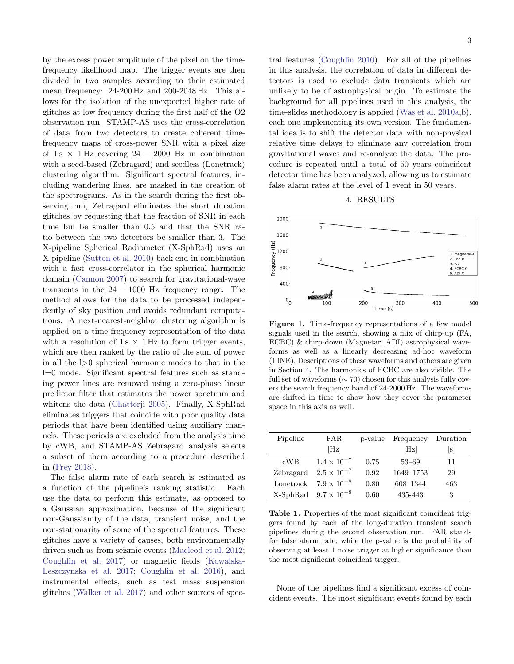by the excess power amplitude of the pixel on the timefrequency likelihood map. The trigger events are then divided in two samples according to their estimated mean frequency: 24-200 Hz and 200-2048 Hz. This allows for the isolation of the unexpected higher rate of glitches at low frequency during the first half of the O2 observation run. STAMP-AS uses the cross-correlation of data from two detectors to create coherent timefrequency maps of cross-power SNR with a pixel size of  $1\,\mathrm{s} \times 1\,\mathrm{Hz}$  covering  $24 - 2000$  Hz in combination with a seed-based (Zebragard) and seedless (Lonetrack) clustering algorithm. Significant spectral features, including wandering lines, are masked in the creation of the spectrograms. As in the search during the first observing run, Zebragard eliminates the short duration glitches by requesting that the fraction of SNR in each time bin be smaller than 0.5 and that the SNR ratio between the two detectors be smaller than 3. The X-pipeline Spherical Radiometer (X-SphRad) uses an X-pipeline [\(Sutton et al.](#page-9-12) [2010\)](#page-9-12) back end in combination with a fast cross-correlator in the spherical harmonic domain [\(Cannon](#page-8-27) [2007\)](#page-8-27) to search for gravitational-wave transients in the  $24 - 1000$  Hz frequency range. The method allows for the data to be processed independently of sky position and avoids redundant computations. A next-nearest-neighbor clustering algorithm is applied on a time-frequency representation of the data with a resolution of  $1 s \times 1 Hz$  to form trigger events, which are then ranked by the ratio of the sum of power in all the l>0 spherical harmonic modes to that in the l=0 mode. Significant spectral features such as standing power lines are removed using a zero-phase linear predictor filter that estimates the power spectrum and whitens the data [\(Chatterji](#page-8-28) [2005\)](#page-8-28). Finally, X-SphRad eliminates triggers that coincide with poor quality data periods that have been identified using auxiliary channels. These periods are excluded from the analysis time by cWB, and STAMP-AS Zebragard analysis selects a subset of them according to a procedure described in [\(Frey](#page-8-29) [2018\)](#page-8-29).

The false alarm rate of each search is estimated as a function of the pipeline's ranking statistic. Each use the data to perform this estimate, as opposed to a Gaussian approximation, because of the significant non-Gaussianity of the data, transient noise, and the non-stationarity of some of the spectral features. These glitches have a variety of causes, both environmentally driven such as from seismic events [\(Macleod et al.](#page-9-13) [2012;](#page-9-13) [Coughlin et al.](#page-8-30) [2017\)](#page-8-30) or magnetic fields [\(Kowalska-](#page-8-31)[Leszczynska et al.](#page-8-31) [2017;](#page-8-31) [Coughlin et al.](#page-8-32) [2016\)](#page-8-32), and instrumental effects, such as test mass suspension glitches [\(Walker et al.](#page-9-14) [2017\)](#page-9-14) and other sources of spectral features [\(Coughlin](#page-8-33) [2010\)](#page-8-33). For all of the pipelines in this analysis, the correlation of data in different detectors is used to exclude data transients which are unlikely to be of astrophysical origin. To estimate the background for all pipelines used in this analysis, the time-slides methodology is applied [\(Was et al.](#page-9-15) [2010a,](#page-9-15)[b\)](#page-9-16), each one implementing its own version. The fundamental idea is to shift the detector data with non-physical relative time delays to eliminate any correlation from gravitational waves and re-analyze the data. The procedure is repeated until a total of 50 years coincident detector time has been analyzed, allowing us to estimate false alarm rates at the level of 1 event in 50 years.

4. RESULTS

<span id="page-5-0"></span>

<span id="page-5-2"></span>Figure 1. Time-frequency representations of a few model signals used in the search, showing a mix of chirp-up (FA, ECBC) & chirp-down (Magnetar, ADI) astrophysical waveforms as well as a linearly decreasing ad-hoc waveform (LINE). Descriptions of these waveforms and others are given in Section [4.](#page-5-0) The harmonics of ECBC are also visible. The full set of waveforms ( $\sim$  70) chosen for this analysis fully covers the search frequency band of 24-2000 Hz. The waveforms are shifted in time to show how they cover the parameter space in this axis as well.

| Pipeline  | FAR.                             | p-value | Frequency | Duration |
|-----------|----------------------------------|---------|-----------|----------|
|           | [Hz]                             |         | [Hz]      | ΙSΙ      |
| cWB       | $1.4 \times 10^{-7}$             | 0.75    | $53 - 69$ | 11       |
| Zebragard | $2.5 \times 10^{-7}$             | 0.92    | 1649-1753 | 29       |
| Lonetrack | $7.9 \times 10^{-8}$             | 0.80    | 608-1344  | 463      |
|           | $X$ -SphRad $9.7 \times 10^{-8}$ | 0.60    | 435-443   | 3        |

<span id="page-5-1"></span>Table 1. Properties of the most significant coincident triggers found by each of the long-duration transient search pipelines during the second observation run. FAR stands for false alarm rate, while the p-value is the probability of observing at least 1 noise trigger at higher significance than the most significant coincident trigger.

None of the pipelines find a significant excess of coincident events. The most significant events found by each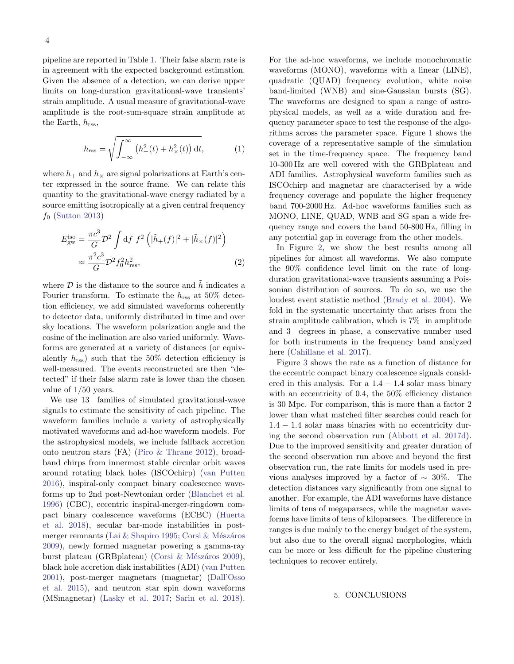pipeline are reported in Table [1.](#page-5-1) Their false alarm rate is in agreement with the expected background estimation. Given the absence of a detection, we can derive upper limits on long-duration gravitational-wave transients' strain amplitude. A usual measure of gravitational-wave amplitude is the root-sum-square strain amplitude at the Earth,  $h_{\text{rss}}$ ,

$$
h_{\rm rss} = \sqrt{\int_{-\infty}^{\infty} \left( h_+^2(t) + h_\times^2(t) \right) \mathrm{d}t},\tag{1}
$$

where  $h_+$  and  $h_{\times}$  are signal polarizations at Earth's center expressed in the source frame. We can relate this quantity to the gravitational-wave energy radiated by a source emitting isotropically at a given central frequency  $f_0$  [\(Sutton](#page-9-17) [2013\)](#page-9-17)

$$
E_{\rm gw}^{\rm iso} = \frac{\pi c^3}{G} \mathcal{D}^2 \int df f^2 \left( |\tilde{h}_+(f)|^2 + |\tilde{h}_\times(f)|^2 \right) \approx \frac{\pi^2 c^3}{G} \mathcal{D}^2 f_0^2 h_{\rm rss}^2,
$$
\n(2)

where  $\mathcal D$  is the distance to the source and  $\tilde h$  indicates a Fourier transform. To estimate the  $h_{\text{rss}}$  at 50% detection efficiency, we add simulated waveforms coherently to detector data, uniformly distributed in time and over sky locations. The waveform polarization angle and the cosine of the inclination are also varied uniformly. Waveforms are generated at a variety of distances (or equivalently  $h_{\text{rss}}$ ) such that the 50% detection efficiency is well-measured. The events reconstructed are then "detected" if their false alarm rate is lower than the chosen value of 1/50 years.

We use 13 families of simulated gravitational-wave signals to estimate the sensitivity of each pipeline. The waveform families include a variety of astrophysically motivated waveforms and ad-hoc waveform models. For the astrophysical models, we include fallback accretion onto neutron stars (FA) [\(Piro & Thrane](#page-9-1) [2012\)](#page-9-1), broadband chirps from innermost stable circular orbit waves around rotating black holes (ISCOchirp) [\(van Putten](#page-9-7) [2016\)](#page-9-7), inspiral-only compact binary coalescence waveforms up to 2nd post-Newtonian order [\(Blanchet et al.](#page-8-34) [1996\)](#page-8-34) (CBC), eccentric inspiral-merger-ringdown compact binary coalescence waveforms (ECBC) [\(Huerta](#page-8-13) [et al.](#page-8-13) [2018\)](#page-8-13), secular bar-mode instabilities in post-merger remnants [\(Lai & Shapiro](#page-8-11) [1995;](#page-8-11) Corsi & Mészáros [2009\)](#page-8-12), newly formed magnetar powering a gamma-ray burst plateau (GRBplateau) (Corsi & Mészáros [2009\)](#page-8-12), black hole accretion disk instabilities (ADI) [\(van Putten](#page-9-3) [2001\)](#page-9-3), post-merger magnetars (magnetar) [\(Dall'Osso](#page-8-35) [et al.](#page-8-35) [2015\)](#page-8-35), and neutron star spin down waveforms (MSmagnetar) [\(Lasky et al.](#page-8-36) [2017;](#page-8-36) [Sarin et al.](#page-9-18) [2018\)](#page-9-18). For the ad-hoc waveforms, we include monochromatic waveforms (MONO), waveforms with a linear (LINE), quadratic (QUAD) frequency evolution, white noise band-limited (WNB) and sine-Gaussian bursts (SG). The waveforms are designed to span a range of astrophysical models, as well as a wide duration and frequency parameter space to test the response of the algorithms across the parameter space. Figure [1](#page-5-2) shows the coverage of a representative sample of the simulation set in the time-frequency space. The frequency band 10-300 Hz are well covered with the GRBplateau and ADI families. Astrophysical waveform families such as ISCOchirp and magnetar are characterised by a wide frequency coverage and populate the higher frequency band 700-2000 Hz. Ad-hoc waveforms families such as MONO, LINE, QUAD, WNB and SG span a wide frequency range and covers the band 50-800 Hz, filling in any potential gap in coverage from the other models.

In Figure [2,](#page-7-0) we show the best results among all pipelines for almost all waveforms. We also compute the 90% confidence level limit on the rate of longduration gravitational-wave transients assuming a Poissonian distribution of sources. To do so, we use the loudest event statistic method [\(Brady et al.](#page-8-37) [2004\)](#page-8-37). We fold in the systematic uncertainty that arises from the strain amplitude calibration, which is 7% in amplitude and 3 degrees in phase, a conservative number used for both instruments in the frequency band analyzed here [\(Cahillane et al.](#page-8-38) [2017\)](#page-8-38).

Figure [3](#page-7-1) shows the rate as a function of distance for the eccentric compact binary coalescence signals considered in this analysis. For a  $1.4 - 1.4$  solar mass binary with an eccentricity of 0.4, the  $50\%$  efficiency distance is 30 Mpc. For comparison, this is more than a factor 2 lower than what matched filter searches could reach for  $1.4 - 1.4$  solar mass binaries with no eccentricity during the second observation run [\(Abbott et al.](#page-8-5) [2017d\)](#page-8-5). Due to the improved sensitivity and greater duration of the second observation run above and beyond the first observation run, the rate limits for models used in previous analyses improved by a factor of  $\sim 30\%$ . The detection distances vary significantly from one signal to another. For example, the ADI waveforms have distance limits of tens of megaparsecs, while the magnetar waveforms have limits of tens of kiloparsecs. The difference in ranges is due mainly to the energy budget of the system, but also due to the overall signal morphologies, which can be more or less difficult for the pipeline clustering techniques to recover entirely.

#### <span id="page-6-0"></span>5. CONCLUSIONS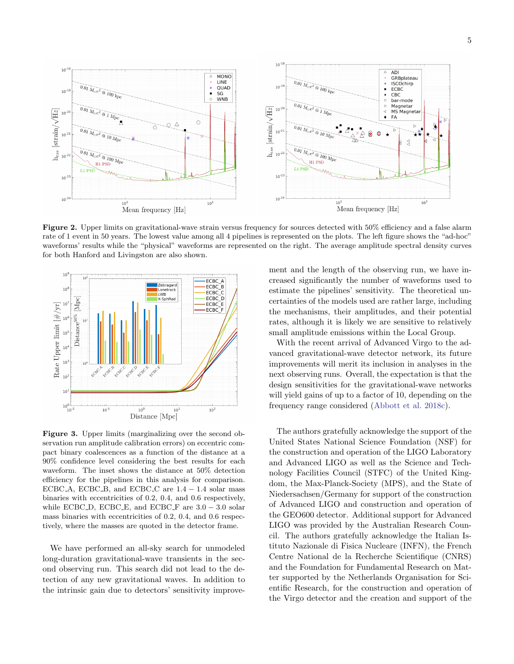

<span id="page-7-0"></span>Figure 2. Upper limits on gravitational-wave strain versus frequency for sources detected with 50% efficiency and a false alarm rate of 1 event in 50 years. The lowest value among all 4 pipelines is represented on the plots. The left figure shows the "ad-hoc" waveforms' results while the "physical" waveforms are represented on the right. The average amplitude spectral density curves for both Hanford and Livingston are also shown.



<span id="page-7-1"></span>Figure 3. Upper limits (marginalizing over the second observation run amplitude calibration errors) on eccentric compact binary coalescences as a function of the distance at a 90% confidence level considering the best results for each waveform. The inset shows the distance at 50% detection efficiency for the pipelines in this analysis for comparison. ECBC<sub>-</sub>A, ECBC<sub>-</sub>B, and ECBC<sub>-</sub>C are  $1.4 - 1.4$  solar mass binaries with eccentricities of 0.2, 0.4, and 0.6 respectively, while ECBC<sub>D</sub>, ECBC<sub>E</sub>, and ECBC<sub>F</sub> are  $3.0 - 3.0$  solar mass binaries with eccentricities of 0.2, 0.4, and 0.6 respectively, where the masses are quoted in the detector frame.

We have performed an all-sky search for unmodeled long-duration gravitational-wave transients in the second observing run. This search did not lead to the detection of any new gravitational waves. In addition to the intrinsic gain due to detectors' sensitivity improvement and the length of the observing run, we have increased significantly the number of waveforms used to estimate the pipelines' sensitivity. The theoretical uncertainties of the models used are rather large, including the mechanisms, their amplitudes, and their potential rates, although it is likely we are sensitive to relatively small amplitude emissions within the Local Group.

With the recent arrival of Advanced Virgo to the advanced gravitational-wave detector network, its future improvements will merit its inclusion in analyses in the next observing runs. Overall, the expectation is that the design sensitivities for the gravitational-wave networks will yield gains of up to a factor of 10, depending on the frequency range considered [\(Abbott et al.](#page-8-16) [2018c\)](#page-8-16).

The authors gratefully acknowledge the support of the United States National Science Foundation (NSF) for the construction and operation of the LIGO Laboratory and Advanced LIGO as well as the Science and Technology Facilities Council (STFC) of the United Kingdom, the Max-Planck-Society (MPS), and the State of Niedersachsen/Germany for support of the construction of Advanced LIGO and construction and operation of the GEO600 detector. Additional support for Advanced LIGO was provided by the Australian Research Council. The authors gratefully acknowledge the Italian Istituto Nazionale di Fisica Nucleare (INFN), the French Centre National de la Recherche Scientifique (CNRS) and the Foundation for Fundamental Research on Matter supported by the Netherlands Organisation for Scientific Research, for the construction and operation of the Virgo detector and the creation and support of the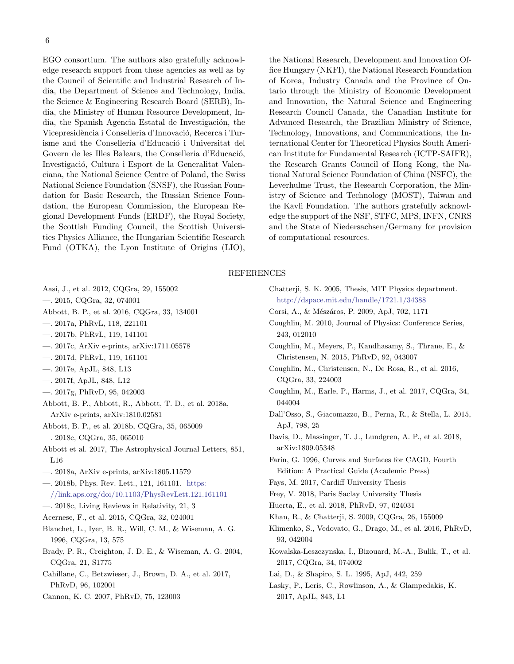EGO consortium. The authors also gratefully acknowledge research support from these agencies as well as by the Council of Scientific and Industrial Research of India, the Department of Science and Technology, India, the Science & Engineering Research Board (SERB), India, the Ministry of Human Resource Development, India, the Spanish Agencia Estatal de Investigación, the Vicepresidència i Conselleria d'Innovació, Recerca i Turisme and the Conselleria d'Educació i Universitat del Govern de les Illes Balears, the Conselleria d'Educació, Investigació, Cultura i Esport de la Generalitat Valenciana, the National Science Centre of Poland, the Swiss National Science Foundation (SNSF), the Russian Foundation for Basic Research, the Russian Science Foundation, the European Commission, the European Regional Development Funds (ERDF), the Royal Society, the Scottish Funding Council, the Scottish Universities Physics Alliance, the Hungarian Scientific Research Fund (OTKA), the Lyon Institute of Origins (LIO), the National Research, Development and Innovation Office Hungary (NKFI), the National Research Foundation of Korea, Industry Canada and the Province of Ontario through the Ministry of Economic Development and Innovation, the Natural Science and Engineering Research Council Canada, the Canadian Institute for Advanced Research, the Brazilian Ministry of Science, Technology, Innovations, and Communications, the International Center for Theoretical Physics South American Institute for Fundamental Research (ICTP-SAIFR), the Research Grants Council of Hong Kong, the National Natural Science Foundation of China (NSFC), the Leverhulme Trust, the Research Corporation, the Ministry of Science and Technology (MOST), Taiwan and the Kavli Foundation. The authors gratefully acknowledge the support of the NSF, STFC, MPS, INFN, CNRS and the State of Niedersachsen/Germany for provision of computational resources.

#### REFERENCES

- <span id="page-8-19"></span>Aasi, J., et al. 2012, CQGra, 29, 155002
- <span id="page-8-0"></span>—. 2015, CQGra, 32, 074001
- <span id="page-8-20"></span>Abbott, B. P., et al. 2016, CQGra, 33, 134001
- <span id="page-8-2"></span>—. 2017a, PhRvL, 118, 221101
- <span id="page-8-3"></span>—. 2017b, PhRvL, 119, 141101
- <span id="page-8-4"></span>—. 2017c, ArXiv e-prints, arXiv:1711.05578
- <span id="page-8-5"></span>—. 2017d, PhRvL, 119, 161101
- <span id="page-8-6"></span>—. 2017e, ApJL, 848, L13
- <span id="page-8-7"></span>—. 2017f, ApJL, 848, L12
- <span id="page-8-26"></span>—. 2017g, PhRvD, 95, 042003
- <span id="page-8-9"></span>Abbott, B. P., Abbott, R., Abbott, T. D., et al. 2018a, ArXiv e-prints, arXiv:1810.02581
- <span id="page-8-10"></span>Abbott, B. P., et al. 2018b, CQGra, 35, 065009
- <span id="page-8-18"></span>—. 2018c, CQGra, 35, 065010
- <span id="page-8-8"></span>Abbott et al. 2017, The Astrophysical Journal Letters, 851, L16
- <span id="page-8-14"></span>—. 2018a, ArXiv e-prints, arXiv:1805.11579
- <span id="page-8-15"></span>—. 2018b, Phys. Rev. Lett., 121, 161101. [https:](https://link.aps.org/doi/10.1103/PhysRevLett.121.161101) [//link.aps.org/doi/10.1103/PhysRevLett.121.161101](https://link.aps.org/doi/10.1103/PhysRevLett.121.161101)
- <span id="page-8-16"></span>—. 2018c, Living Reviews in Relativity, 21, 3
- <span id="page-8-1"></span>Acernese, F., et al. 2015, CQGra, 32, 024001
- <span id="page-8-34"></span>Blanchet, L., Iyer, B. R., Will, C. M., & Wiseman, A. G. 1996, CQGra, 13, 575
- <span id="page-8-37"></span>Brady, P. R., Creighton, J. D. E., & Wiseman, A. G. 2004, CQGra, 21, S1775
- <span id="page-8-38"></span>Cahillane, C., Betzwieser, J., Brown, D. A., et al. 2017, PhRvD, 96, 102001
- <span id="page-8-27"></span>Cannon, K. C. 2007, PhRvD, 75, 123003
- <span id="page-8-28"></span>Chatterji, S. K. 2005, Thesis, MIT Physics department. <http://dspace.mit.edu/handle/1721.1/34388>
- <span id="page-8-12"></span>Corsi, A., & Mészáros, P. 2009, ApJ, 702, 1171
- <span id="page-8-33"></span>Coughlin, M. 2010, Journal of Physics: Conference Series, 243, 012010
- <span id="page-8-23"></span>Coughlin, M., Meyers, P., Kandhasamy, S., Thrane, E., & Christensen, N. 2015, PhRvD, 92, 043007
- <span id="page-8-32"></span>Coughlin, M., Christensen, N., De Rosa, R., et al. 2016, CQGra, 33, 224003
- <span id="page-8-30"></span>Coughlin, M., Earle, P., Harms, J., et al. 2017, CQGra, 34, 044004
- <span id="page-8-35"></span>Dall'Osso, S., Giacomazzo, B., Perna, R., & Stella, L. 2015, ApJ, 798, 25
- <span id="page-8-17"></span>Davis, D., Massinger, T. J., Lundgren, A. P., et al. 2018, arXiv:1809.05348
- <span id="page-8-22"></span>Farin, G. 1996, Curves and Surfaces for CAGD, Fourth Edition: A Practical Guide (Academic Press)
- <span id="page-8-25"></span>Fays, M. 2017, Cardiff University Thesis
- <span id="page-8-29"></span>Frey, V. 2018, Paris Saclay University Thesis
- <span id="page-8-13"></span>Huerta, E., et al. 2018, PhRvD, 97, 024031
- <span id="page-8-24"></span><span id="page-8-21"></span>Khan, R., & Chatterji, S. 2009, CQGra, 26, 155009
- Klimenko, S., Vedovato, G., Drago, M., et al. 2016, PhRvD, 93, 042004
- <span id="page-8-31"></span>Kowalska-Leszczynska, I., Bizouard, M.-A., Bulik, T., et al. 2017, CQGra, 34, 074002
- <span id="page-8-11"></span>Lai, D., & Shapiro, S. L. 1995, ApJ, 442, 259
- <span id="page-8-36"></span>Lasky, P., Leris, C., Rowlinson, A., & Glampedakis, K. 2017, ApJL, 843, L1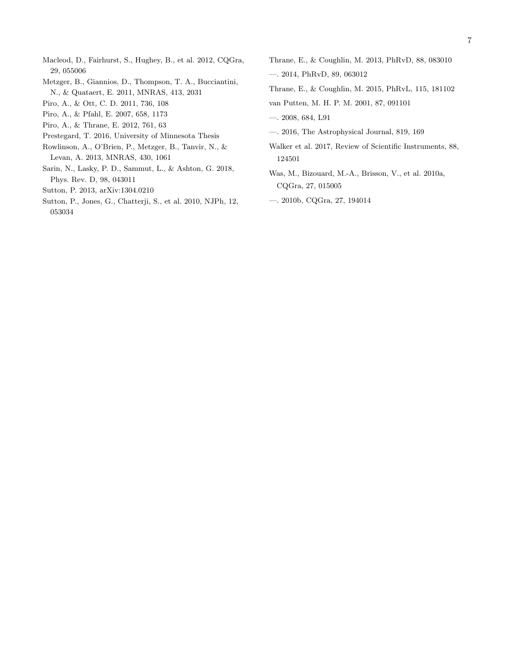- <span id="page-9-13"></span>Macleod, D., Fairhurst, S., Hughey, B., et al. 2012, CQGra, 29, 055006
- <span id="page-9-5"></span>Metzger, B., Giannios, D., Thompson, T. A., Bucciantini, N., & Quataert, E. 2011, MNRAS, 413, 2031
- <span id="page-9-0"></span>Piro, A., & Ott, C. D. 2011, 736, 108
- <span id="page-9-2"></span>Piro, A., & Pfahl, E. 2007, 658, 1173
- <span id="page-9-1"></span>Piro, A., & Thrane, E. 2012, 761, 63
- <span id="page-9-8"></span>Prestegard, T. 2016, University of Minnesota Thesis
- <span id="page-9-6"></span>Rowlinson, A., O'Brien, P., Metzger, B., Tanvir, N., & Levan, A. 2013, MNRAS, 430, 1061
- <span id="page-9-18"></span>Sarin, N., Lasky, P. D., Sammut, L., & Ashton, G. 2018, Phys. Rev. D, 98, 043011
- <span id="page-9-17"></span>Sutton, P. 2013, arXiv:1304.0210
- <span id="page-9-12"></span>Sutton, P., Jones, G., Chatterji, S., et al. 2010, NJPh, 12, 053034
- <span id="page-9-9"></span>Thrane, E., & Coughlin, M. 2013, PhRvD, 88, 083010
- <span id="page-9-10"></span>—. 2014, PhRvD, 89, 063012
- <span id="page-9-11"></span>Thrane, E., & Coughlin, M. 2015, PhRvL, 115, 181102
- <span id="page-9-3"></span>van Putten, M. H. P. M. 2001, 87, 091101
- <span id="page-9-4"></span>—. 2008, 684, L91
- <span id="page-9-7"></span>—. 2016, The Astrophysical Journal, 819, 169
- <span id="page-9-14"></span>Walker et al. 2017, Review of Scientific Instruments, 88, 124501
- <span id="page-9-15"></span>Was, M., Bizouard, M.-A., Brisson, V., et al. 2010a, CQGra, 27, 015005
- <span id="page-9-16"></span>—. 2010b, CQGra, 27, 194014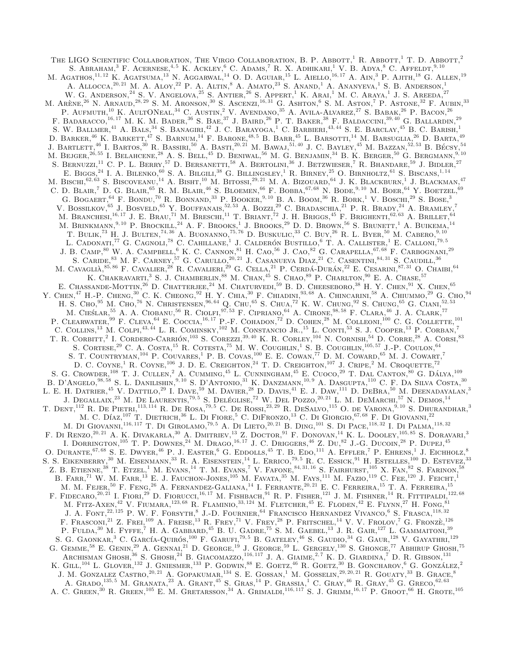THE LIGO SCIENTIFIC COLLABORATION, THE VIRGO COLLABORATION, B. P. ABBOTT,<sup>1</sup> R. ABBOTT,<sup>1</sup> T. D. ABBOTT,<sup>2</sup> S. Abraham,<sup>3</sup> F. Acernese, <sup>4, 5</sup> K. Ackley, <sup>6</sup> C. Adams,<sup>7</sup> R. X. Adhikari,<sup>1</sup> V. B. Adya,<sup>8</sup> C. Affeldt,<sup>9, 10</sup> M. Agathos,<sup>11, 12</sup> K. Agatsuma,<sup>13'</sup> N. Aggarwal,<sup>14</sup> O. D. Aguiar,<sup>15</sup> L. Aiello,<sup>16, 17</sup> A. Ain,<sup>3</sup> P. Ajith,<sup>18</sup> G. Allen,<sup>19</sup> A. ALLOCCA,  $^{20, 21}$  M. A. ALOY,  $^{22}$  P. A. ALTIN,  $^8$  A. AMATO,  $^{23}$  S. ANAND,  $^1$  A. ANANYEVA,  $^1$  S. B. ANDERSON,  $^1$ W. G. ANDERSON.<sup>24</sup> S. V. ANGELOVA.<sup>25</sup> S. ANTIER.<sup>26</sup> S. APPERT,<sup>1</sup> K. ARAL<sup>1</sup> M. C. ARAYA,<sup>1</sup> J. S. AREEDA.<sup>27</sup> M. Arène,  $^{26}$  N. Arnaud,  $^{28, 29}$  S. M. Aronson,  $^{30}$  S. Ascenzi,  $^{16, 31}$  G. Ashton,  $^6$  S. M. Aston,  $^7$  P. Astone,  $^{32}$  F. Aubin,  $^{33}$ P. AUFMUTH,<sup>10</sup> K. AULTONEAL,<sup>34</sup> C. AUSTIN,<sup>2</sup> V. AVENDANO,<sup>35</sup> A. AVILA-ALVAREZ,<sup>27</sup> S. BABAK,<sup>26</sup> P. BACON,<sup>26</sup> F. BADARACCO,<sup>16, 17</sup> M. K. M. BADER,<sup>36</sup> S. BAE,<sup>37</sup> J. BAIRD,<sup>26</sup> P. T. BAKER,<sup>38</sup> F. BALDACCINI,<sup>39, 40</sup> G. BALLARDIN,<sup>29</sup> S. W. BALLMER,<sup>41</sup> A. BALS,<sup>34</sup> S. BANAGIRL<sup>42</sup> J. C. BARAYOGA,<sup>1</sup> C. BARBIERL<sup>43,44</sup> S. E. BARCLAY,<sup>45</sup> B. C. BARISH,<sup>1</sup> D. BARKER,<sup>46</sup> K. BARKETT,<sup>47</sup> S. BARNUM,<sup>14</sup> F. BARONE,<sup>48,5</sup> B. BARR,<sup>45</sup> L. BARSOTTI,<sup>14</sup> M. BARSUGLIA,<sup>26</sup> D. BARTA,<sup>49</sup> J. BARTLETT,<sup>46</sup> I. BARTOS,<sup>30</sup> R. BASSIRI,<sup>50</sup> A. BASTI,<sup>20, 21</sup> M. BAWAJ,<sup>51, 40</sup> J. C. BAYLEY,<sup>45</sup> M. BAZZAN,<sup>52, 53</sup> B. BÉCSY,<sup>54</sup> M. Bejger, $^{26,55}$  I. Belahcene, $^{28}$  A. S. Bell, $^{45}$  D. Beniwal, $^{56}$  M. G. Benjamin, $^{34}$  B. K. Berger, $^{50}$  G. Bergmann, $^{9,10}$ S. BERNUZZL<sup>11</sup> C. P. L. BERRY,<sup>57</sup> D. BERSANETTI,<sup>58</sup> A. BERTOLINI,<sup>36</sup> J. BETZWIESER,<sup>7</sup> R. BHANDARE,<sup>59</sup> J. BIDLER,<sup>27</sup> E. BIGGS,<sup>24</sup> I. A. BILENKO,<sup>60</sup> S. A. BILGILI,<sup>38</sup> G. BILLINGSLEY,<sup>1</sup> R. BIRNEY,<sup>25</sup> O. BIRNHOLTZ,<sup>61</sup> S. BISCANS,<sup>1,14</sup> M. BISCHI,<sup>62, 63</sup> S. BISCOVEANU,<sup>14</sup> A. BISHT,<sup>10</sup> M. BITOSSI,<sup>29, 21</sup> M. A. BIZOUARD,<sup>64</sup> J. K. BLACKBURN,<sup>1</sup> J. BLACKMAN,<sup>47</sup> C. D. BLAIR,<sup>7</sup> D. G. BLAIR,<sup>65</sup> R. M. BLAIR,<sup>46</sup> S. BLOEMEN,<sup>66</sup> F. BOBBA,<sup>67,68</sup> N. BODE,<sup>9,10</sup> M. BOER,<sup>64</sup> Y. BOETZEL,<sup>69</sup> G. BOGAERT,  $^{64}$  F. BONDU,<sup>70</sup> R. BONNAND,<sup>33</sup> P. BOOKER, <sup>9, 10</sup> B. A. BOOM,<sup>36</sup> R. BORK,<sup>1</sup> V. BOSCHI,<sup>29</sup> S. BOSE,<sup>3</sup> V. BOSSILKOV,<sup>65</sup> J. BOSVELD,<sup>65</sup> Y. BOUFFANAIS,<sup>52, 53</sup> A. BOZZI,<sup>29</sup> C. BRADASCHIA,<sup>21</sup> P. R. BRADY,<sup>24</sup> A. BRAMLEY,<sup>7</sup> M. BRANCHESI,<sup>16, 17</sup> J. E. BRAU,<sup>71</sup> M. BRESCHI,<sup>11</sup> T. BRIANT,<sup>72</sup> J. H. BRIGGS,<sup>45</sup> F. BRIGHENTI,<sup>62,63</sup> A. BRILLET,<sup>64</sup> M. BRINKMANN.<sup>9, 10</sup> P. Brockill.<sup>24</sup> A. F. Brooks,<sup>1</sup> J. Brooks,<sup>29</sup> D. D. Brown,<sup>56</sup> S. Brunett,<sup>1</sup> A. Buikema,<sup>14</sup> T. BULIK,<sup>73</sup> H. J. BULTEN,<sup>74, 36</sup> A. BUONANNO,<sup>75,76</sup> D. BUSKULIC,<sup>33</sup> C. BUY,<sup>26</sup> R. L. BYER,<sup>50</sup> M. CABERO,<sup>9,10</sup> L. CADONATI,<sup>77</sup> G. CAGNOLI,<sup>78</sup> C. CAHILLANE,<sup>1</sup> J. CALDERÓN BUSTILLO,<sup>6</sup> T. A. CALLISTER,<sup>1</sup> E. CALLONI,<sup>79,5</sup> J. B. CAMP,  $^{80}$  W. A. CAMPBELL,  $^{6}$  K. C. CANNON,  $^{81}$  H. Cao,  $^{56}$  J. Cao,  $^{82}$  G. Carapella,  $^{67, 68}$  F. Carbognani,  $^{29}$ S. CARIDE,<sup>83</sup> M. F. CARNEY,<sup>57</sup> G. CARULLO,<sup>20, 21</sup> J. CASANUEVA DIAZ,<sup>21</sup> C. CASENTINI,<sup>84, 31</sup> S. CAUDILL,<sup>36</sup> M. CAVAGLIÀ,  $85, 86$  F. CAVALIER,  $28$  R. CAVALIERI,  $29$  G. CELLA,  $21$  P. CERDÁ-DURÁN,  $22$  E. CESARINI,  $87, 31$  O. CHAIBI,  $64$ K. CHAKRAVARTI.<sup>3</sup> S. J. CHAMBERLIN,<sup>88</sup> M. CHAN,<sup>45</sup> S. CHAO,<sup>89</sup> P. CHARLTON,<sup>90</sup> E. A. CHASE,<sup>57</sup> E. CHASSANDE-MOTTIN.<sup>26</sup> D. CHATTERJEE.<sup>24</sup> M. CHATURVEDL<sup>59</sup> B. D. CHEESEBORO.<sup>38</sup> H. Y. CHEN.<sup>91</sup> X. CHEN.<sup>65</sup> Y. Chen,<sup>47</sup> H.-P. Cheng,<sup>30</sup> C. K. Cheong,<sup>92</sup> H. Y. Chia,<sup>30</sup> F. Chiadini,<sup>93,68</sup> A. Chincarini,<sup>58</sup> A. Chiummo,<sup>29</sup> G. Cho,<sup>94</sup> H. S. Cho,<sup>95</sup> M. Cho,<sup>76</sup> N. Christensen,<sup>96,64</sup> Q. Chu,<sup>65</sup> S. Chua,<sup>72</sup> K. W. Chung,<sup>92</sup> S. Chung,<sup>65</sup> G. Clani,<sup>52,53</sup> M. CIEŚLAR, <sup>55</sup> A. A. CIOBANU, <sup>56</sup> R. CIOLFI, <sup>97, 53</sup> F. CIPRIANO, <sup>64</sup> A. CIRONE, <sup>98, 58</sup> F. CLARA, <sup>46</sup> J. A. CLARK,<sup>77</sup> P. CLEARWATER,  $^{99}$  F. CLEVA,  $^{64}$  E. COCCIA,  $^{16,17}$  P.-F. COHADON,  $^{72}$  D. COHEN,  $^{28}$  M. COLLEONI,  $^{100}$  C. G. COLLETTE,  $^{101}$ C. COLLINS,<sup>13</sup> M. COLPL<sup>43, 44</sup> L. R. COMINSKY,<sup>102</sup> M. CONSTANCIO JR.,<sup>15</sup> L. CONTL<sup>53</sup> S. J. COOPER,<sup>13</sup> P. CORBAN,<sup>7</sup> T. R. CORBITT.<sup>2</sup> I. CORDERO-CARRION,<sup>103</sup> S. COREZZI,<sup>39, 40</sup> K. R. CORLEY,<sup>104</sup> N. CORNISH,<sup>54</sup> D. CORRE.<sup>28</sup> A. CORSI,<sup>83</sup> S. CORTESE,  $^{29}$  C. A. COSTA,  $^{15}$  R. COTESTA,  $^{75}$  M. W. COUGHLIN,  $^{1}$  S. B. COUGHLIN,  $^{105,57}$  J.-P. COULON,  $^{64}$ S. T. COUNTRYMAN, <sup>104</sup> P. COUVARES, <sup>1</sup> P. B. COVAS, <sup>100</sup> E. E. COWAN, <sup>77</sup> D. M. COWARD, <sup>65</sup> M. J. COWART,<sup>7</sup> D. C. COYNE,<sup>1</sup> R. COYNE,<sup>106</sup> J. D. E. CREIGHTON,<sup>24</sup> T. D. CREIGHTON,<sup>107</sup> J. CRIPE,<sup>2</sup> M. CROQUETTE,<sup>72</sup> S. G. CROWDER,  $^{108}$  T. J. CULLEN,  $^2$  A. CUMMING,  $^{45}$  L. CUNNINGHAM,  $^{45}$  E. CUOCO,  $^{29}$  T. DAL CANTON,  $^{80}$  G. DALYA,  $^{109}$ B. D'ANGELO,<sup>98, 58</sup> S. L. DANILISHIN,<sup>9, 10</sup> S. D'ANTONIO,<sup>31</sup> K. DANZMANN,<sup>10,9</sup> A. DASGUPTA,<sup>110</sup> C. F. DA SILVA COSTA.<sup>30</sup> L. E. H. DATRIER,<sup>45</sup> V. DATTILO,<sup>29</sup> L. DAVE,<sup>59</sup> M. DAVIER,<sup>28</sup> D. DAVIS,<sup>41</sup> E. J. DAW,<sup>111</sup> D. DEBRA,<sup>50</sup> M. DEENADAYALAN,<sup>3</sup> J. Degallaix,<sup>23</sup> M. De Laurentis,<sup>79,5</sup> S. Deléglise,<sup>72</sup> W. Del Pozzo,<sup>20, 21</sup> L. M. DeMarchi,<sup>57</sup> N. Demos,<sup>14</sup> T. DENT, <sup>112</sup> R. DE PIETRI, <sup>113, 114</sup> R. DE ROSA, <sup>79, 5</sup> C. DE ROSSI, <sup>23, 29</sup> R. DESALVO, <sup>115</sup> O. de VARONA, <sup>9, 10</sup> S. DHURANDHAR, <sup>3</sup> M. C. DÍAZ,<sup>107</sup> T. DIETRICH,<sup>36</sup> L. DI FIORE,<sup>5</sup> C. DIFRONZO,<sup>13</sup> C. DI GIORGIO,<sup>67,68</sup> F. DI GIOVANNI,<sup>22</sup> M. DI GIOVANNI,<sup>116, 117</sup> T. DI GIROLAMO,<sup>79, 5</sup> A. DI LIETO,<sup>20, 21</sup> B. DING,<sup>101</sup> S. DI PACE,<sup>118,32</sup> I. DI PALMA,<sup>118,32</sup> F. DI RENZO,<sup>20, 21</sup> A. K. DIVAKARLA,<sup>30</sup> A. DMITRIEV,<sup>13</sup> Z. DOCTOR,<sup>91</sup> F. DONOVAN,<sup>14</sup> K. L. DOOLEY,<sup>105, 85</sup> S. DORAVARI,<sup>3</sup> I. DORRINGTON,<sup>105</sup> T. P. DOWNES,<sup>24</sup> M. DRAGO,<sup>16, 17</sup> J. C. DRIGGERS,<sup>46</sup> Z. Du,<sup>82</sup> J.-G. DUCOIN,<sup>28</sup> P. DUPEJ,<sup>45</sup> O. DURANTE, <sup>67, 68</sup> S. E. DWYER, <sup>46</sup> P. J. EASTER, <sup>6</sup> G. EDDOLLS, <sup>45</sup> T. B. EDO, <sup>111</sup> A. EFFLER, <sup>7</sup> P. EHRENS, <sup>1</sup> J. EICHHOLZ, <sup>8</sup> S. S. EIKENBERRY,<sup>30</sup> M. EISENMANN,<sup>33</sup> R. A. EISENSTEIN,<sup>14</sup> L. ERRICO,<sup>79,5</sup> R. C. ESSICK,<sup>91</sup> H. ESTELLES,<sup>100</sup> D. ESTEVEZ,<sup>33</sup> Z. B. ETIENNE,<sup>38</sup> T. ETZEL,<sup>1</sup> M. Evans,<sup>14</sup> T. M. Evans,<sup>7</sup> V. Fafone,<sup>84, 31, 16</sup> S. Fairhurst,<sup>105</sup> X. Fan,<sup>82</sup> S. Farinon,<sup>58</sup> B. FARR,<sup>71</sup> W. M. FARR,<sup>13</sup> E. J. FAUCHON-JONES,<sup>105</sup> M. FAVATA,<sup>35</sup> M. FAYS,<sup>111</sup> M. FAZIO,<sup>119</sup> C. FEE,<sup>120</sup> J. FEICHT,<sup>1</sup> M. M. Fejer,<sup>50</sup> F. Feng,<sup>26</sup> A. Fernandez-Galiana,<sup>14</sup> I. Ferrante,20, 21 E. C. Ferreira,<sup>15</sup> T. A. Ferreira,<sup>15</sup> F. FIDECARO,<sup>20, 21</sup> I. FIORL<sup>29</sup> D. FIORUCCI,<sup>16, 17</sup> M. FISHBACH,<sup>91</sup> R. P. FISHER,<sup>121</sup> J. M. FISHNER,<sup>14</sup> R. FITTIPALDI,<sup>122,68</sup> M. FITZ-AXEN,<sup>42</sup> V. FIUMARA,<sup>123,68</sup> R. FLAMINIO,<sup>33,124</sup> M. FLETCHER,<sup>45</sup> E. FLODEN,<sup>42</sup> E. FLYNN,<sup>27</sup> H. FONG,<sup>81</sup> J. A. FONT.<sup>22, 125</sup> P. W. F. FORSYTH.<sup>8</sup> J.-D. FOURNIER.<sup>64</sup> FRANCISCO HERNANDEZ VIVANCO.<sup>6</sup> S. FRASCA.<sup>118,32</sup> F. FRASCONI.<sup>21</sup> Z. FREL<sup>109</sup> A. FREISE.<sup>13</sup> R. FREY,<sup>71</sup> V. FREY,<sup>28</sup> P. FRITSCHEL.<sup>14</sup> V. V. FROLOV,<sup>7</sup> G. FRONZÈ.<sup>126</sup> P. FULDA, $^{30}$  M. Fyffe, <sup>7</sup> H. A. Gabbard,<sup>45</sup> B. U. Gadre,<sup>75</sup> S. M. Gaebel,<sup>13</sup> J. R. Gair,<sup>127</sup> L. Gammaitoni,<sup>39</sup> S. G. GAONKAR.<sup>3</sup> C. GARCÍA-QUIRÓS, <sup>100</sup> F. GARUFI, <sup>79, 5</sup> B. GATELEY, <sup>46</sup> S. GAUDIO, <sup>34</sup> G. GAUR, <sup>128</sup> V. GAYATHRI.<sup>129</sup> G. GEMME,  $^{58}$  E. GENIN,  $^{29}$  A. GENNAI,  $^{21}$  D. GEORGE,  $^{19}$  J. GEORGE,  $^{59}$  L. GERGELY,  $^{130}$  S. GHONGE,  $^{77}$  Abhirup Ghosh,  $^{75}$ ARCHISMAN GHOSH, $^{36}$  S. GHOSH, $^{24}$  B. GIACOMAZZO,  $^{116, 117}$  J. A. GIAIME, $^{2, 7}$  K. D. GIARDINA, $^{7}$  D. R. GIBSON,  $^{131}$ K. GILL,  $^{104}$  L. GLOVER,  $^{132}$  J. GNIESMER,  $^{133}$  P. GODWIN,  $^{88}$  E. GOETZ,  $^{46}$  R. GOETZ,  $^{30}$  B. GONCHAROV, <sup>6</sup> G. GONZALEZ, <sup>2</sup> J. M. GONZALEZ CASTRO,<sup>20, 21</sup> A. GOPAKUMAR,<sup>134</sup> S. E. GOSSAN,<sup>1</sup> M. GOSSELIN,<sup>29, 20, 21</sup> R. GOUATY,<sup>33</sup> B. GRACE,<sup>8</sup> A. GRADO,<sup>135, 5</sup> M. GRANATA,<sup>23</sup> A. GRANT,<sup>45</sup> S. GRAS,<sup>14</sup> P. GRASSIA,<sup>1</sup> C. GRAY,<sup>46</sup> R. GRAY,<sup>45</sup> G. GRECO,<sup>62,63</sup> A. C. GREEN,<sup>30</sup> R. GREEN,<sup>105</sup> E. M. GRETARSSON,<sup>34</sup> A. GRIMALDL,<sup>116,117</sup> S. J. GRIMM,<sup>16,17</sup> P. GROOT,<sup>66</sup> H. GROTE,<sup>105</sup>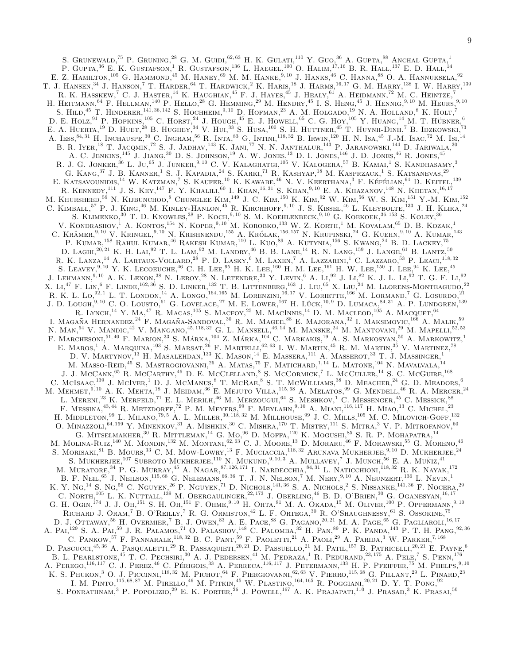S. GRUNEWALD,<sup>75</sup> P. GRUNING,<sup>28</sup> G. M. GUIDL<sup>62, 63</sup> H. K. GULATL<sup>110</sup> Y. GUO,<sup>36</sup> A. GUPTA,<sup>88</sup> ANCHAL GUPTA,<sup>1</sup> P. GUPTA,<sup>36</sup> E. K. GUSTAFSON,<sup>1</sup> R. GUSTAFSON,<sup>136</sup> L. HAEGEL,<sup>100</sup> O. HALIM,<sup>17,16</sup> B. R. HALL,<sup>137</sup> E. D. HALL,<sup>14</sup> E. Z. HAMILTON,<sup>105</sup> G. HAMMOND,<sup>45</sup> M. HANEY,<sup>69</sup> M. M. HANKE,<sup>9,10</sup> J. HANKS,<sup>46</sup> C. HANNA,<sup>88</sup> O. A. HANNUKSELA,<sup>92</sup> T. J. HANSEN,<sup>34</sup> J. HANSON,<sup>7</sup> T. HARDER,<sup>64</sup> T. HARDWICK,<sup>2</sup> K. HARIS,<sup>18</sup> J. HARMS,<sup>16, 17</sup> G. M. HARRY,<sup>138</sup> I. W. HARRY,<sup>139</sup> R. K. HASSKEW,<sup>7</sup> C. J. HASTER,<sup>14</sup> K. HAUGHIAN,<sup>45</sup> F. J. HAYES,<sup>45</sup> J. HEALY,<sup>61</sup> A. HEIDMANN,<sup>72</sup> M. C. HEINTZE,<sup>7</sup> H. HEITMANN,  $^{64}$  F. HELLMAN,  $^{140}$  P. HELLO,  $^{28}$  G. HEMMING,  $^{29}$  M. HENDRY,  $^{45}$  I. S. HENG,  $^{45}$  J. HENNIG,  $^{9,10}$  M. HEURS,  $^{9,10}$ S. HILD,<sup>45</sup> T. HINDERER,<sup>141, 36, 142</sup> S. HOCHHEIM,<sup>9, 10</sup> D. HOFMAN,<sup>23</sup> A. M. HOLGADO,<sup>19'</sup> N. A. HOLLAND,<sup>8</sup> K. HOLT,<sup>7</sup> D. E. HOLZ, <sup>91</sup> P. HOPKINS,<sup>105</sup> C. HORST,<sup>24</sup> J. HOUGH,<sup>45</sup> E. J. HOWELL,<sup>65</sup> C. G. HOY,<sup>105</sup> Y. HUANG,<sup>14</sup> M. T. HÜBNER,<sup>6</sup> E. A. HUERTA,<sup>19</sup> D. HUET,<sup>28</sup> B. HUGHEY,<sup>34</sup> V. HUI,<sup>33</sup> S. HUSA,<sup>100</sup> S. H. HUTTNER,<sup>45</sup> T. HUYNH-DINH,<sup>7</sup> B. IDZKOWSKI,<sup>73</sup> A. IESS,  $^{84,31}$  H. INCHAUSPE,  $^{30}$  C. INGRAM,  $^{56}$  R. INTA,  $^{83}$  G. INTINI,  $^{118,32}$  B. Irwin,  $^{120}$  H. N. ISA,  $^{45}$  J.-M. ISAC,  $^{72}$  M. Isi,  $^{14}$ B. R. IYER,<sup>18</sup> T. JACOMIN,<sup>72</sup> S. J. JADHAV,<sup>143</sup> K. JANI,<sup>77</sup> N. N. JANTHALUR,<sup>143</sup> P. JARANOWSKI,<sup>144</sup> D. JARIWALA,<sup>30</sup> A. C. Jenkins,<sup>145</sup> J. Jiang,<sup>30</sup> D. S. Johnson,<sup>19</sup> A. W. Jones,<sup>13</sup> D. I. Jones,<sup>146</sup> J. D. Jones,<sup>46</sup> R. Jones,<sup>45</sup> R. J. G. JONKER,<sup>36</sup> L. JU,<sup>65</sup> J. JUNKER,<sup>9,10</sup> C. V. KALAGHATGL<sup>105</sup> V. KALOGERA,<sup>57</sup> B. KAMAL<sup>1</sup> S. KANDHASAMY.<sup>3</sup> G. KANG.<sup>37</sup> J. B. KANNER,<sup>1</sup> S. J. KAPADIA,<sup>24</sup> S. KARKI,<sup>71</sup> R. KASHYAP,<sup>18</sup> M. KASPRZACK,<sup>1</sup> S. KATSANEVAS.<sup>29</sup> E. KATSAVOUNIDIS,<sup>14</sup> W. KATZMAN,<sup>7</sup> S. KAUFER,<sup>10</sup> K. KAWABE,<sup>46</sup> N. V. KEERTHANA,<sup>3</sup> F. KÉFÉLIAN,<sup>64</sup> D. KEITEL,<sup>139</sup> R. KENNEDY,<sup>111</sup> J. S. KEY,<sup>147</sup> F. Y. KHALILI,<sup>60</sup> I. KHAN,<sup>16,31</sup> S. KHAN,<sup>9,10</sup> E. A. KHAZANOV,<sup>148</sup> N. KHETAN,<sup>16,17</sup> M. KHURSHEED,<sup>59</sup> N. KLIBUNCHOO,<sup>8</sup> CHUNGLEE KIM,<sup>149</sup> J. C. KIM,<sup>150</sup> K. KIM,<sup>92</sup> W. KIM,<sup>56</sup> W. S. KIM,<sup>151</sup> Y.-M. KIM,<sup>152</sup> C. KIMBALL,<sup>57</sup> P. J. KING,<sup>46</sup> M. KINLEY-HANLON,<sup>45</sup> R. KIRCHHOFF,<sup>9,10</sup> J. S. KISSEL,<sup>46</sup> L. KLEYBOLTE,<sup>133</sup> J. H. KLIKA,<sup>24</sup> S. KLIMENKO,<sup>30</sup> T. D. KNOWLES,<sup>38</sup> P. KOCH,<sup>9, 10</sup> S. M. KOEHLENBECK,<sup>9, 10</sup> G. KOEKOEK,<sup>36, 153</sup> S. KOLEY,<sup>36</sup> V. KONDRASHOV,<sup>1</sup> A. KONTOS,<sup>154</sup> N. KOPER,<sup>9,10</sup> M. KOROBKO,<sup>133</sup> W. Z. KORTH,<sup>1</sup> M. KOVALAM,<sup>65</sup> D. B. KOZAK,<sup>1</sup> C. KRÄMER,  $8,10$  V. KRINGEL,  $8,10$  N. KRISHNENDU,  $^{155}$  A. Królak,  $^{156,157}$  N. Krupinski,  $^{24}$  G. Kuehn,  $^{9,10}$  A. Kumar,  $^{143}$ P. KUMAR,<sup>158</sup> RAHUL KUMAR,<sup>46</sup> RAKESH KUMAR,<sup>110</sup> L. KUO,<sup>89</sup> A. KUTYNIA,<sup>156</sup> S. KWANG,<sup>24</sup> B. D. LACKEY,<sup>75</sup> D. LAGHI, $^{20,21}$  K. H. Lai,<sup>92</sup> T. L. Lam,<sup>92</sup> M. Landry,<sup>46</sup> B. B. Lane,<sup>14</sup> R. N. Lang,<sup>159</sup> J. Lange,<sup>61</sup> B. Lantz,<sup>50</sup> R. K. Lanza,<sup>14</sup> A. Lartaux-Vollard,<sup>28</sup> P. D. Lasky,<sup>6</sup> M. Laxen,<sup>7</sup> A. Lazzarini,<sup>1</sup> C. Lazzaro,<sup>53</sup> P. Leacl,<sup>118,32</sup> S. LEAVEY, <sup>9, 10</sup> Y. K. LECOEUCHE, <sup>46</sup> C. H. LEE, <sup>95</sup> H. K. LEE, <sup>160</sup> H. M. LEE, <sup>161</sup> H. W. LEE, <sup>150</sup> J. LEE, <sup>94</sup> K. LEE, <sup>45</sup> J. LEHMANN,<sup>9, 10</sup> A. K. LENON,<sup>38</sup> N. LEROY,<sup>28</sup> N. LETENDRE,<sup>33</sup> Y. LEVIN,<sup>6</sup> A. Li,<sup>92</sup> J. Li,<sup>82</sup> K. J. L. Li,<sup>92</sup> T. G. F. Li,<sup>92</sup> X. Li,<sup>47</sup> F. Lin,<sup>6</sup> F. Linde,<sup>162, 36</sup> S. D. Linker,<sup>132</sup> T. B. Littenberg,<sup>163</sup> J. Liu,<sup>65</sup> X. Liu,<sup>24</sup> M. Llorens-Monteagudo,<sup>22</sup> R. K. L. Lo,<sup>92, 1</sup> L. T. LONDON,<sup>14</sup> A. LONGO,<sup>164, 165</sup> M. LORENZINI,<sup>16, 17</sup> V. LORIETTE,<sup>166</sup> M. LORMAND,<sup>7</sup> G. LOSURDO,<sup>21</sup> J. D. LOUGH,<sup>9, 10</sup> C. O. LOUSTO,<sup>61</sup> G. LOVELACE,<sup>27</sup> M. E. LOWER,<sup>167</sup> H. LÜCK,<sup>10,9</sup> D. LUMACA,<sup>84,31</sup> A. P. LUNDGREN.<sup>139</sup> R. LYNCH,<sup>14</sup> Y. Ma,<sup>47</sup> R. Macas,<sup>105</sup> S. MacFoy,<sup>25</sup> M. MacInnis,<sup>14</sup> D. M. Macleod,<sup>105</sup> A. Macouet,<sup>64</sup> I. Magaña Hernandez, <sup>24</sup> F. Magaña-Sandoval, <sup>30</sup> R. M. Magee, <sup>88</sup> E. Majorana, <sup>32</sup> I. Maksimovic, <sup>166</sup> A. Malik, <sup>59</sup> N. MAN,  $^{64}$  V. Mandic,  $^{42}$  V. Mangano,  $^{45,118,32}$  G. L. Mansell,  $^{46,14}$  M. Manske,  $^{24}$  M. Mantovani,  $^{29}$  M. Mapelli,  $^{52,53}$ F. MARCHESONI,  $^{51,40}$  F. MARION,  $^{33}$  S. MARKA,  $^{104}$  Z. MARKA,  $^{104}$  C. MARKAKIS,  $^{19}$  A. S. MARKOSYAN,  $^{50}$  A. MARKOWITZ,  $^{1}$ E. MAROS,<sup>1</sup> A. MARQUINA,<sup>103</sup> S. MARSAT,<sup>26</sup> F. MARTELLI,<sup>62,63</sup> I. W. MARTIN,<sup>45</sup> R. M. MARTIN,<sup>35</sup> V. MARTINEZ,<sup>78</sup> D. V. MARTYNOV,<sup>13</sup> H. MASALEHDAN,<sup>133</sup> K. MASON,<sup>14</sup> E. MASSERA,<sup>111</sup> A. MASSEROT,<sup>33</sup> T. J. MASSINGER,<sup>1</sup> M. MASSO-REID,<sup>45</sup> S. MASTROGIOVANNI.<sup>26</sup> A. MATAS,<sup>75</sup> F. MATICHARD,<sup>1,14</sup> L. MATONE,<sup>104</sup> N. MAVALVALA,<sup>14</sup> J. J. McCann,<sup>65</sup> R. McCarthy,<sup>46</sup> D. E. McClelland,<sup>8</sup> S. McCormick,<sup>7</sup> L. McCuller,<sup>14</sup> S. C. McGuire,<sup>168</sup> C. McIsaac,<sup>139</sup> J. McIver,<sup>1</sup> D. J. McManus,<sup>8</sup> T. McRae,<sup>8</sup> S. T. McWilliams,<sup>38</sup> D. Meacher,<sup>24</sup> G. D. Meadors,<sup>6</sup> M. MEHMET,<sup>9, 10</sup> A. K. MEHTA,<sup>18</sup> J. MEIDAM,<sup>36</sup> E. MEJUTO VILLA,<sup>115,68</sup> A. MELATOS,<sup>99</sup> G. MENDELL,<sup>46</sup> R. A. MERCER,<sup>24</sup> L. MERENL<sup>23</sup> K. MERFELD,<sup>71</sup> E. L. MERILH,<sup>46</sup> M. MERZOUGUI,<sup>64</sup> S. MESHKOV,<sup>1</sup> C. MESSENGER,<sup>45</sup> C. MESSICK,<sup>88</sup> F. MESSINA,  $^{43,44}$  R. Metzdorff,<sup>72</sup> P. M. Meyers,<sup>99</sup> F. Meylahn,<sup>9,10</sup> A. Miani,<sup>116, 117</sup> H. Miao,<sup>13</sup> C. Michel,<sup>23</sup> H. MIEREN,<sup>23</sup> K. MERFELD,<sup>71</sup> E. L. MERILH,<sup>46</sup> M. MERZOUGUI,<sup>64</sup> S. MESHKOV,<sup>1</sup> C. MESSENGER,<sup>45</sup> C. MESSING,<sup>88</sup> F. MESSINA,<sup>43,44</sup> R. METZDORFF,<sup>72</sup> P. M. MEYERS,<sup>99</sup> F. MEYLAHN,<sup>9,10</sup> A. MIANI,<sup>116,117</sup> H. MIAO,<sup>13</sup> O. MINAZZOLL<sup>64, 169</sup> Y. MINENKOV, <sup>31</sup> A. MISHKIN, <sup>30</sup> C. MISHRA, <sup>170</sup> T. MISTRY, <sup>111</sup> S. MITRA, <sup>3</sup> V. P. MITROFANOV, <sup>60</sup> G. MITSELMAKHER,  $^{30}$  R. MITTLEMAN,  $^{14}$  G. Mo,  $^{96}$  D. Moffa,  $^{120}$  K. Mogushi,  $^{85}$  S. R. P. Mohapatra,  $^{14}$ M. MOLINA-RUIZ, $^{140}$  M. MONDIN, $^{132}$  M. MONTANI, $^{62, 63}$  C. J. MOORE, $^{13}$  D. MORARU, $^{46}$  F. MORAWSKI, $^{55}$  G. MORENO, $^{46}$ S. MORISAKI,  $^{81}$  B. Mours,  $^{33}$  C. M. Mow-Lowry,  $^{13}$  F. Muciaccia,  $^{118,32}$  Arunava Mukherjee,  $^{9,10}$  D. Mukherjee,  $^{24}$ S. MUKHERJEE,<sup>107</sup> SUBROTO MUKHERJEE,<sup>110</sup> N. MUKUND,<sup>9,10,3</sup> A. MULLAVEY,<sup>7</sup> J. MUNCH,<sup>56</sup> E. A. MUÑIZ,<sup>41</sup> M. MURATORE,  $34$  P. G. MURRAY,  $45$  A. Nagar,  $87,126,171$  I. Nardecchia,  $84,31$  L. Naticchioni,  $^{118,32}$  R. K. Nayak,  $^{172}$ B. F. Nell,<sup>65</sup> J. Neilson,<sup>115,68</sup> G. Nelemans,<sup>66,36</sup> T. J. N. Nelson,<sup>7</sup> M. Nery,<sup>9,10</sup> A. Neunzert,<sup>136</sup> L. Nevin,<sup>1</sup> K. Y. Ng,<sup>14</sup> S. Ng,<sup>56</sup> C. Nguyen,<sup>26</sup> P. Nguyen,<sup>71</sup> D. Nichols,<sup>141,36</sup> S. A. Nichols,<sup>2</sup> S. Nissanke,<sup>141,36</sup> F. Nocera,<sup>29</sup> C. NORTH,  $^{105}$  L. K. NUTTALL,  $^{139}$  M. Obergaulinger,  $^{22,173}$  J. Oberling,  $^{46}$  B. D. O'Brien,  $^{30}$  G. Oganesyan,  $^{16,17}$ G. H. Ogin,<sup>174</sup> J. J. Oh,<sup>151</sup> S. H. Oh,<sup>151</sup> F. Ohme,<sup>9,10</sup> H. Ohta,<sup>81</sup> M. A. Okada,<sup>15</sup> M. Oliver,<sup>100</sup> P. Oppermann,<sup>9,10</sup> RICHARD J. ORAM,<sup>7</sup> B. O'REILLY,<sup>7</sup> R. G. ORMISTON,<sup>42</sup> L. F. ORTEGA,<sup>30</sup> R. O'SHAUGHNESSY,<sup>61</sup> S. OSSOKINE,<sup>75</sup> D. J. Ottaway,<sup>56</sup> H. Overmier,<sup>7</sup> B. J. Owen,<sup>83</sup> A. E. Pace,<sup>88</sup> G. Pagano,<sup>20, 21</sup> M. A. Page,<sup>65</sup> G. Pagliaroli,<sup>16, 17</sup> A. Pai,<sup>129</sup> S. A. Pai,<sup>59</sup> J. R. Palamos,<sup>71</sup> O. Palashov,<sup>148</sup> C. Palomba,<sup>32</sup> H. Pan,<sup>89</sup> P. K. Panda,<sup>143</sup> P. T. H. Pang,92, 36 C. PANKOW,  $^{57}$  F. PANNARALE,  $^{118,32}$  B. C. PANT,  $^{59}$  F. PAOLETTI,  $^{21}$  A. PAOLI,  $^{29}$  A. PARIDA,  $^{3}$  W. PARKER,  $^{7,168}$ D. PASCUCCI,<sup>45, 36</sup> A. PASQUALETTI,<sup>29</sup> R. PASSAQUIETI,<sup>20, 21</sup> D. PASSUELLO,<sup>21</sup> M. PATIL,<sup>157</sup> B. PATRICELLI,<sup>20, 21</sup> E. PAYNE,<sup>6</sup> B. L. PEARLSTONE,<sup>45</sup> T. C. PECHSIRI,<sup>30</sup> A. J. PEDERSEN,<sup>41</sup> M. PEDRAZA,<sup>1</sup> R. PEDURAND,<sup>23, 175</sup> A. PELE,<sup>7</sup> S. PENN,<sup>176</sup> A. PEREGO,  $^{116,117}$  C. J. PEREZ,  $^{46}$  C. PERIGOIS,  $^{33}$  A. PERRECA,  $^{116,117}$  J. PETERMANN,  $^{133}$  H. P. PFEIFFER,  $^{75}$  M. PHELPS,  $^{9,10}$ K. S. PHUKON,<sup>3</sup> O. J. PICCINNI,<sup>118,32</sup> M. PICHOT,<sup>64</sup> F. PIERGIOVANNI,<sup>62,63</sup> V. PIERRO,<sup>115,68</sup> G. PILLANT,<sup>29</sup> L. PINARD,<sup>23</sup> I. M. Pinto,115, 68, 87 M. Pirello,<sup>46</sup> M. Pitkin,<sup>45</sup> W. Plastino,164, 165 R. Poggiani,20, 21 D. Y. T. Pong,<sup>92</sup> S. PONRATHNAM,<sup>3</sup> P. POPOLIZIO,<sup>29</sup> E. K. PORTER,<sup>26</sup> J. POWELL,<sup>167</sup> A. K. PRAJAPATI,<sup>110</sup> J. PRASAD,<sup>3</sup> K. PRASAL<sup>50</sup>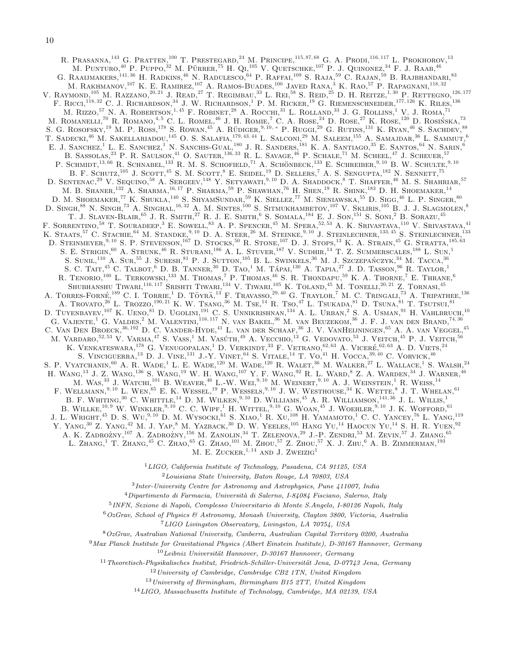R. Prasanna,<sup>143</sup> G. Pratten,<sup>100</sup> T. Prestegard,<sup>24</sup> M. Principe,<sup>115,87,68</sup> G. A. Prodi,<sup>116,117</sup> L. Prokhorov,<sup>13</sup> M. PUNTURO,<sup>40</sup> P. PUPPO,<sup>32</sup> M. PÜRRER,<sup>75</sup> H. QL<sup>105</sup> V. QUETSCHKE,<sup>107</sup> P. J. QUINONEZ,<sup>34</sup> F. J. RAAB,<sup>46</sup> G. RAAIJMAKERS,<sup>141, 36</sup> H. RADKINS,<sup>46</sup> N. RADULESCO,<sup>64</sup> P. RAFFAI,<sup>109</sup> S. RAJA,<sup>59</sup> C. RAJAN,<sup>59</sup> B. RAJBHANDARI,<sup>83</sup> M. RAKHMANOV,<sup>107</sup> K. E. RAMIREZ,<sup>107</sup> A. RAMOS-BUADES,<sup>100</sup> JAVED RANA,<sup>3</sup> K. RAO,<sup>57</sup> P. RAPAGNANI,<sup>118,32</sup> V. RAYMOND,<sup>105</sup> M. RAZZANO,<sup>20, 21</sup> J. READ,<sup>27</sup> T. REGIMBAU,<sup>33</sup> L. REL<sup>58</sup> S. REID,<sup>25</sup> D. H. REITZE,<sup>1, 30</sup> P. RETTEGNO,<sup>126, 177</sup> F. RICCI,<sup>118, 32</sup> C. J. RICHARDSON,<sup>34</sup> J. W. RICHARDSON,<sup>1</sup> P. M. RICKER,<sup>19</sup> G. RIEMENSCHNEIDER,<sup>177, 126</sup> K. RILES,<sup>136</sup> M. RIZZO,<sup>57</sup> N. A. ROBERTSON,<sup>1, 45</sup> F. ROBINET,<sup>28</sup> A. ROCCHI,<sup>31</sup> L. ROLLAND,<sup>33</sup> J. G. ROLLINS,<sup>1</sup> V. J. ROMA,<sup>71</sup> M. ROMANELLI,<sup>70</sup> R. ROMANO,<sup>4,5</sup> C. L. ROMEL<sup>46</sup> J. H. ROMIE,<sup>7</sup> C. A. ROSE,<sup>24</sup> D. ROSE,<sup>27</sup> K. ROSE,<sup>120</sup> D. ROSIŃSKA,<sup>73</sup> S. G. ROSOFSKY,<sup>19</sup> M. P. ROSS,<sup>178</sup> S. ROWAN,<sup>45</sup> A. RÜDIGER,<sup>9,10,\*</sup> P. RUGGL<sup>29</sup> G. RUTINS,<sup>131</sup> K. RYAN,<sup>46</sup> S. SACHDEV,<sup>88</sup> T. SADECKI,<sup>46</sup> M. SAKELLARIADOU,<sup>145</sup> O. S. SALAFIA,<sup>179, 43, 44</sup> L. SALCONI,<sup>29</sup> M. SALEEM,<sup>155</sup> A. SAMAJDAR,<sup>36</sup> L. SAMMUT,<sup>6</sup> E. J. SANCHEZ,<sup>1</sup> L. E. SANCHEZ,<sup>1</sup> N. SANCHIS-GUAL,<sup>180</sup> J. R. SANDERS,<sup>181</sup> K. A. SANTIAGO,<sup>35</sup> E. SANTOS,<sup>64</sup> N. SARIN,<sup>6</sup> B. SASSOLAS,<sup>23</sup> P. R. SAULSON,<sup>41</sup> O. SAUTER,<sup>136, 33</sup> R. L. SAVAGE,<sup>46</sup> P. SCHALE,<sup>71</sup> M. SCHEEL,<sup>47</sup> J. SCHEUER,<sup>57</sup> P. SCHMIDT,<sup>13,66</sup> R. SCHNABEL,<sup>133</sup> R. M. S. SCHOFIELD,<sup>71</sup> A. SCHÖNBECK,<sup>133</sup> E. SCHREIBER,<sup>9,10</sup> B. W. SCHULTE,<sup>9,10</sup> B. F. SCHUTZ,<sup>105</sup> J. SCOTT,<sup>45</sup> S. M. SCOTT,<sup>8</sup> E. SEIDEL,<sup>19</sup> D. SELLERS,<sup>7</sup> A. S. SENGUPTA,<sup>182</sup> N. SENNETT,<sup>75</sup> D. SENTENAC.<sup>29</sup> V. SEQUINO.<sup>58</sup> A. SERGEEV,<sup>148</sup> Y. SETYAWATI.<sup>9,10</sup> D. A. SHADDOCK,<sup>8</sup> T. SHAFFER.<sup>46</sup> M. S. SHAHRIAR.<sup>57</sup> M. B. Shaner,<sup>132</sup> A. Sharma,16, 17 P. Sharma,<sup>59</sup> P. Shawhan,<sup>76</sup> H. Shen,<sup>19</sup> R. Shink,<sup>183</sup> D. H. Shoemaker,<sup>14</sup> D. M. SHOEMAKER,<sup>77</sup> K. SHUKLA,<sup>140</sup> S. SHYAMSUNDAR,<sup>59</sup> K. SIELLEZ,<sup>77</sup> M. SIENIAWSKA,<sup>55</sup> D. SIGG,<sup>46</sup> L. P. SINGER,<sup>80</sup> D. SINGH, $^{88}$  N. SINGH, $^{73}$  A. SINGHAL, $^{16,32}$  A. M. SINTES, $^{100}$  S. SITMUKHAMBETOV, $^{107}$  V. SKLIRIS, $^{105}$  B. J. J. SLAGMOLEN, $^{8}$ T. J. SLAVEN-BLAIR, <sup>65</sup> J. R. SMITH,<sup>27</sup> R. J. E. SMITH,<sup>6</sup> S. SOMALA,<sup>184</sup> E. J. SON,<sup>151</sup> S. SONI,<sup>2</sup> B. SORAZU,<sup>45</sup> F. SORRENTINO,<sup>58</sup> T. SOURADEEP,<sup>3</sup> E. SOWELL,<sup>83</sup> A. P. SPENCER,<sup>45</sup> M. SPERA,<sup>52,53</sup> A. K. SRIVASTAVA,<sup>110</sup> V. SRIVASTAVA,<sup>41</sup> K. Staats,<sup>57</sup> C. Stachie,<sup>64</sup> M. Standke,<sup>9, 10</sup> D. A. Steer,<sup>26</sup> M. Steinke,<sup>9, 10</sup> J. Steinlechner,<sup>133, 45</sup> S. Steinlechner,<sup>133</sup> D. STEINMEYER,<sup>9, 10</sup> S. P. STEVENSON,<sup>167</sup> D. STOCKS,<sup>50</sup> R. STONE,<sup>107</sup> D. J. STOPS,<sup>13</sup> K. A. STRAIN,<sup>45</sup> G. STRATTA,<sup>185,63</sup> S. E. STRIGIN, <sup>60</sup> A. STRUNK, <sup>46</sup> R. STURANI, <sup>186</sup> A. L. STUVER, <sup>187</sup> V. SUDHIR, <sup>14</sup> T. Z. SUMMERSCALES, <sup>188</sup> L. SUN, <sup>1</sup> S. SUNIL,  $^{110}$  A. Sur,  $^{55}$  J. Suresh,  $^{81}$  P. J. Sutton,  $^{105}$  B. L. Swinkels,  $^{36}$  M. J. Szczepańczyk,  $^{34}$  M. Tacca,  $^{36}$ S. C. TAIT,  $^{45}$  C. Talbot,<sup>6</sup> D. B. Tanner,<sup>30</sup> D. Tao,<sup>1</sup> M. Tapai, <sup>130</sup> A. Tapia, <sup>27</sup> J. D. Tasson, <sup>96</sup> R. Taylor, <sup>1</sup> R. TENORIO,  $^{100}$  L. TERKOWSKI,  $^{133}$  M. Thomas,<sup>7</sup> P. Thomas,  $^{46}$  S. R. Thondapu,  $^{59}$  K. A. Thorne,<sup>7</sup> E. Thrane, <sup>6</sup> Shubhanshu Tiwari,<sup>116, 117</sup> Srishti Tiwari,<sup>134</sup> V. Tiwari,<sup>105</sup> K. Toland,<sup>45</sup> M. Tonelli,<sup>20, 21</sup> Z. Tornasi,<sup>45</sup> A. TORRES-FORNÉ, <sup>189</sup> C. L. TORRIE,<sup>1</sup> D. TÖYRÄ,<sup>13</sup> F. TRAVASSO,<sup>29,40</sup> G. TRAYLOR,<sup>7</sup> M. C. TRINGALL<sup>73</sup> A. TRIPATHEE, <sup>136</sup> A. TROVATO,<sup>26</sup> L. TROZZO,<sup>190, 21</sup> K. W. TSANG,<sup>36</sup> M. TSE,<sup>14</sup> R. TSO,<sup>47</sup> L. TSUKADA,<sup>81</sup> D. TSUNA,<sup>81</sup> T. TSUTSUL<sup>81</sup> D. TUYENBAYEV,<sup>107</sup> K. UENO,<sup>81</sup> D. UGOLINI,<sup>191</sup> C. S. UNNIKRISHNAN,<sup>134</sup> A. L. URBAN,<sup>2</sup> S. A. USMAN,<sup>91</sup> H. VAHLBRUCH,<sup>10</sup> G. Vajente,<sup>1</sup> G. Valdes,<sup>2</sup> M. Valentini,116, 117 N. van Bakel,<sup>36</sup> M. van Beuzekom,<sup>36</sup> J. F. J. van den Brand,74, 36 C. VAN DEN BROECK, <sup>36, 192</sup> D. C. VANDER-HYDE, <sup>41</sup> L. van der Schaaf, <sup>36</sup> J. V. VanHeijningen, <sup>65</sup> A. A. van Veggel, <sup>45</sup> M. VARDARO,<sup>52,53</sup> V. VARMA,<sup>47</sup> S. VASS,<sup>1</sup> M. VASÚTH,<sup>49</sup> A. VECCHIO,<sup>13</sup> G. VEDOVATO,<sup>53</sup> J. VEITCH,<sup>45</sup> P. J. VEITCH,<sup>56</sup> K. VENKATESWARA, <sup>178</sup> G. VENUGOPALAN, <sup>1</sup> D. VERKINDT, <sup>33</sup> F. VETRANO, <sup>62, 63</sup> A. VICERÉ, <sup>62, 63</sup> A. D. VIETS, <sup>24</sup> S. VINCIGUERRA,  $^{13}$  D. J. VINE,  $^{131}$  J.-Y. VINET,  $^{64}$  S. VITALE,  $^{14}$  T. Vo $^{41}$  H. VOCCA,  $^{39,40}$  C. VORVICK,  $^{46}$ S. P. VYATCHANIN,  $^{60}$  A. R. Wade,<sup>1</sup> L. E. Wade,<sup>120</sup> M. Wade,<sup>120</sup> R. Walet,<sup>36</sup> M. Walker,<sup>27</sup> L. Wallace,<sup>1</sup> S. Walsh,<sup>24</sup> H. WANG,<sup>13</sup> J. Z. WANG,<sup>136</sup> S. WANG,<sup>19</sup> W. H. WANG,<sup>107</sup> Y. F. WANG,<sup>92</sup> R. L. WARD,<sup>8</sup> Z. A. WARDEN,<sup>34</sup> J. WARNER,<sup>46</sup> M. WAS,  $33$  J. WATCHI,  $^{101}$  B. WEAVER,  $^{46}$  L.-W. Wei,  $^{9,10}$  M. Weinert,  $^{9,10}$  A. J. Weinstein,  $^{1}$  R. Weiss,  $^{14}$ F. WELLMANN,<sup>9, 10</sup> L. WEN,<sup>65</sup> E. K. WESSEL,<sup>19</sup> P. WESSELS,<sup>9, 10</sup> J. W. WESTHOUSE,<sup>34</sup> K. WETTE,<sup>8</sup> J. T. WHELAN,<sup>61</sup> B. F. WHITING,  $30$  C. WHITTLE,  $^{14}$  D. M. WILKEN,  $^{9,10}$  D. WILLIAMS,  $^{45}$  A. R. WILLIAMSON,  $^{141,36}$  J. L. WILLIS,  $^{1}$ B. WILLKE,  $^{10,9}$  W. WINKLER,  $^{9,10}$  C. C. WIPF, <sup>1</sup> H. WITTEL,  $^{9,10}$  G. WOAN,  $^{45}$  J. WOEHLER,  $^{9,10}$  J. K. WOFFORD,  $^{61}$ J. L. WRIGHT,<sup>45</sup> D. S. WU,<sup>9,10</sup> D. M. WYSOCKI,<sup>61</sup> S. XIAO,<sup>1</sup> R. XU,<sup>108</sup> H. YAMAMOTO,<sup>1</sup> C. C. YANCEY,<sup>76</sup> L. YANG,<sup>119</sup> Y. YANG,  $30\,Z$ , YANG,  $42\,$  M. J. YAP,  $8\,$  M. YAZBACK,  $30\,$  D. W. YEELES,  $105\,$  HANG Yu,  $^{14}$  HAOCUN Yu,  $^{14}$  S. H. R. Yuen,  $^{92}$ A. K. ZADROŻNY, <sup>107</sup> A. ZADROŻNY, <sup>156</sup> M. ZANOLIN, <sup>34</sup> T. ZELENOVA, <sup>29</sup> J.-P. ZENDRI, <sup>53</sup> M. ZEVIN, <sup>57</sup> J. ZHANG, <sup>65</sup> L. ZHANG,<sup>1</sup> T. ZHANG,<sup>45</sup> C. ZHAO,<sup>65</sup> G. ZHAO,<sup>101</sup> M. ZHOU,<sup>57</sup> Z. ZHOU,<sup>57</sup> X. J. ZHU,<sup>6</sup> A. B. ZIMMERMAN,<sup>193</sup> M. E. ZUCKER.<sup>1, 14</sup> AND J. ZWEIZIG<sup>1</sup>

<sup>1</sup>LIGO, California Institute of Technology, Pasadena, CA 91125, USA

 $2$ Louisiana State University, Baton Rouge, LA 70803, USA

3 Inter-University Centre for Astronomy and Astrophysics, Pune 411007, India

 $4$ Dipartimento di Farmacia, Università di Salerno, I-84084 Fisciano, Salerno, Italy

5 INFN, Sezione di Napoli, Complesso Universitario di Monte S.Angelo, I-80126 Napoli, Italy

 $6$ OzGrav, School of Physics & Astronomy, Monash University, Clayton 3800, Victoria, Australia

<sup>7</sup>LIGO Livingston Observatory, Livingston, LA 70754, USA

<sup>8</sup>OzGrav, Australian National University, Canberra, Australian Capital Territory 0200, Australia

<sup>9</sup>Max Planck Institute for Gravitational Physics (Albert Einstein Institute), D-30167 Hannover, Germany

 $10$ Leibniz Universität Hannover, D-30167 Hannover, Germany

 $11$ Theoretisch-Physikalisches Institut, Friedrich-Schiller-Universität Jena, D-07743 Jena, Germany

<sup>12</sup>University of Cambridge, Cambridge CB2 1TN, United Kingdom

 $13$  University of Birmingham, Birmingham B15 2TT, United Kingdom

<sup>14</sup>LIGO, Massachusetts Institute of Technology, Cambridge, MA 02139, USA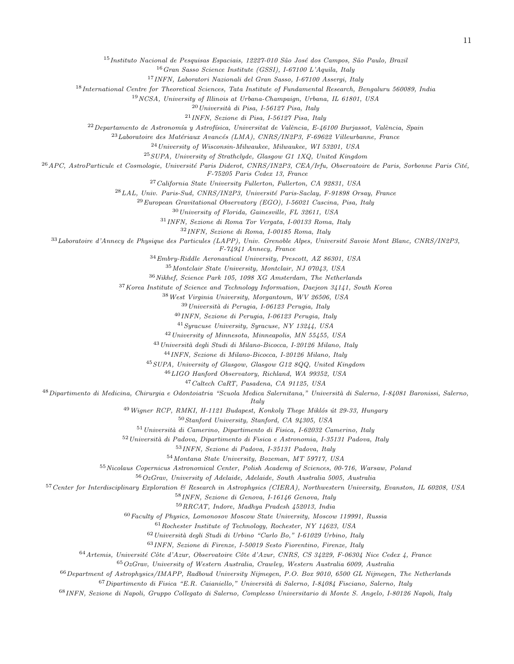<sup>15</sup>Instituto Nacional de Pesquisas Espaciais, 12227-010 São José dos Campos, São Paulo, Brazil

Gran Sasso Science Institute (GSSI), I-67100 L'Aquila, Italy

INFN, Laboratori Nazionali del Gran Sasso, I-67100 Assergi, Italy

International Centre for Theoretical Sciences, Tata Institute of Fundamental Research, Bengaluru 560089, India

NCSA, University of Illinois at Urbana-Champaign, Urbana, IL 61801, USA

 $^{20}$ Università di Pisa, I-56127 Pisa, Italy

INFN, Sezione di Pisa, I-56127 Pisa, Italy

 $^{22}$ Departamento de Astronomía y Astrofísica, Universitat de València, E-46100 Burjassot, València, Spain

 $^{23}$ Laboratoire des Matériaux Avancés (LMA), CNRS/IN2P3, F-69622 Villeurbanne, France

University of Wisconsin-Milwaukee, Milwaukee, WI 53201, USA

SUPA, University of Strathclyde, Glasgow G1 1XQ, United Kingdom

 $^{26}$ APC, AstroParticule et Cosmologie, Université Paris Diderot, CNRS/IN2P3, CEA/Irfu, Observatoire de Paris, Sorbonne Paris Cité,

F-75205 Paris Cedex 13, France

California State University Fullerton, Fullerton, CA 92831, USA

 $^{28}LAL,$  Univ. Paris-Sud, CNRS/IN2P3, Université Paris-Saclay, F-91898 Orsay, France

 $^{29}$ European Gravitational Observatory (EGO), I-56021 Cascina, Pisa, Italy

University of Florida, Gainesville, FL 32611, USA

INFN, Sezione di Roma Tor Vergata, I-00133 Roma, Italy

INFN, Sezione di Roma, I-00185 Roma, Italy

Laboratoire d'Annecy de Physique des Particules (LAPP), Univ. Grenoble Alpes, Université Savoie Mont Blanc, CNRS/IN2P3,

F-74941 Annecy, France

 $^{34}Embry-Riddle\ Aeronautical\ University,\ Presscott,\ AZ\ 86301,\ USA$ 

Montclair State University, Montclair, NJ 07043, USA

Nikhef, Science Park 105, 1098 XG Amsterdam, The Netherlands

Korea Institute of Science and Technology Information, Daejeon 34141, South Korea

West Virginia University, Morgantown, WV 26506, USA

Università di Perugia, I-06123 Perugia, Italy

INFN, Sezione di Perugia, I-06123 Perugia, Italy

Syracuse University, Syracuse, NY 13244, USA

University of Minnesota, Minneapolis, MN 55455, USA

<sup>43</sup> Università degli Studi di Milano-Bicocca, I-20126 Milano, Italy

INFN, Sezione di Milano-Bicocca, I-20126 Milano, Italy

SUPA, University of Glasgow, Glasgow G12 8QQ, United Kingdom

LIGO Hanford Observatory, Richland, WA 99352, USA

Caltech CaRT, Pasadena, CA 91125, USA

<sup>48</sup> Dipartimento di Medicina, Chirurgia e Odontoiatria "Scuola Medica Salernitana," Università di Salerno, I-84081 Baronissi, Salerno,

**Italy** 

 $^{49}$  Wigner RCP, RMKI, H-1121 Budapest, Konkoly Thege Miklós út 29-33, Hungary

Stanford University, Stanford, CA 94305, USA

Università di Camerino, Dipartimento di Fisica, I-62032 Camerino, Italy

Università di Padova, Dipartimento di Fisica e Astronomia, I-35131 Padova, Italy

INFN, Sezione di Padova, I-35131 Padova, Italy

Montana State University, Bozeman, MT 59717, USA

Nicolaus Copernicus Astronomical Center, Polish Academy of Sciences, 00-716, Warsaw, Poland

OzGrav, University of Adelaide, Adelaide, South Australia 5005, Australia

Center for Interdisciplinary Exploration & Research in Astrophysics (CIERA), Northwestern University, Evanston, IL 60208, USA

INFN, Sezione di Genova, I-16146 Genova, Italy

RRCAT, Indore, Madhya Pradesh 452013, India

Faculty of Physics, Lomonosov Moscow State University, Moscow 119991, Russia

Rochester Institute of Technology, Rochester, NY 14623, USA

Università degli Studi di Urbino "Carlo Bo," I-61029 Urbino, Italy

INFN, Sezione di Firenze, I-50019 Sesto Fiorentino, Firenze, Italy

64 Artemis, Université Côte d'Azur, Observatoire Côte d'Azur, CNRS, CS 34229, F-06304 Nice Cedex 4, France

OzGrav, University of Western Australia, Crawley, Western Australia 6009, Australia

Department of Astrophysics/IMAPP, Radboud University Nijmegen, P.O. Box 9010, 6500 GL Nijmegen, The Netherlands

Dipartimento di Fisica "E.R. Caianiello," Università di Salerno, I-84084 Fisciano, Salerno, Italy

INFN, Sezione di Napoli, Gruppo Collegato di Salerno, Complesso Universitario di Monte S. Angelo, I-80126 Napoli, Italy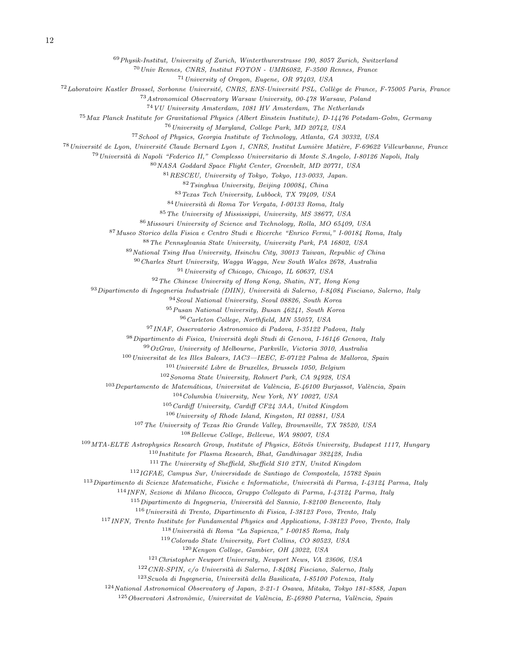Physik-Institut, University of Zurich, Winterthurerstrasse 190, 8057 Zurich, Switzerland

Univ Rennes, CNRS, Institut FOTON - UMR6082, F-3500 Rennes, France

University of Oregon, Eugene, OR 97403, USA

<sup>72</sup>Laboratoire Kastler Brossel, Sorbonne Université, CNRS, ENS-Université PSL, Collège de France, F-75005 Paris, France

Astronomical Observatory Warsaw University, 00-478 Warsaw, Poland

VU University Amsterdam, 1081 HV Amsterdam, The Netherlands

Max Planck Institute for Gravitational Physics (Albert Einstein Institute), D-14476 Potsdam-Golm, Germany

University of Maryland, College Park, MD 20742, USA

School of Physics, Georgia Institute of Technology, Atlanta, GA 30332, USA

<sup>78</sup> Université de Lyon, Université Claude Bernard Lyon 1, CNRS, Institut Lumière Matière, F-69622 Villeurbanne, France

<sup>79</sup> Università di Napoli "Federico II," Complesso Universitario di Monte S.Angelo, I-80126 Napoli, Italy

NASA Goddard Space Flight Center, Greenbelt, MD 20771, USA

RESCEU, University of Tokyo, Tokyo, 113-0033, Japan.

Tsinghua University, Beijing 100084, China

Texas Tech University, Lubbock, TX 79409, USA

84 Università di Roma Tor Vergata, I-00133 Roma, Italy

The University of Mississippi, University, MS 38677, USA

Missouri University of Science and Technology, Rolla, MO 65409, USA

Museo Storico della Fisica e Centro Studi e Ricerche "Enrico Fermi," I-00184 Roma, Italy

The Pennsylvania State University, University Park, PA 16802, USA

National Tsing Hua University, Hsinchu City, 30013 Taiwan, Republic of China

Charles Sturt University, Wagga Wagga, New South Wales 2678, Australia

University of Chicago, Chicago, IL 60637, USA

The Chinese University of Hong Kong, Shatin, NT, Hong Kong

93 Dipartimento di Ingegneria Industriale (DIIN), Università di Salerno, I-84084 Fisciano, Salerno, Italy

Seoul National University, Seoul 08826, South Korea

Pusan National University, Busan 46241, South Korea

Carleton College, Northfield, MN 55057, USA

INAF, Osservatorio Astronomico di Padova, I-35122 Padova, Italy

<sup>98</sup> Dipartimento di Fisica, Università degli Studi di Genova, I-16146 Genova, Italy

 $99OzGrav$ , University of Melbourne, Parkville, Victoria 3010, Australia

Universitat de les Illes Balears, IAC3-IEEC, E-07122 Palma de Mallorca, Spain

Université Libre de Bruxelles, Brussels 1050, Belgium

Sonoma State University, Rohnert Park, CA 94928, USA

 $^{103}$ Departamento de Matemáticas, Universitat de València, E-46100 Burjassot, València, Spain

Columbia University, New York, NY 10027, USA

Cardiff University, Cardiff CF24 3AA, United Kingdom

University of Rhode Island, Kingston, RI 02881, USA

The University of Texas Rio Grande Valley, Brownsville, TX 78520, USA

Bellevue College, Bellevue, WA 98007, USA

MTA-ELTE Astrophysics Research Group, Institute of Physics, Eötvös University, Budapest 1117, Hungary

Institute for Plasma Research, Bhat, Gandhinagar 382428, India

The University of Sheffield, Sheffield S10 2TN, United Kingdom

IGFAE, Campus Sur, Universidade de Santiago de Compostela, 15782 Spain

Dipartimento di Scienze Matematiche, Fisiche e Informatiche, Università di Parma, I-43124 Parma, Italy

INFN, Sezione di Milano Bicocca, Gruppo Collegato di Parma, I-43124 Parma, Italy

Dipartimento di Ingegneria, Università del Sannio, I-82100 Benevento, Italy

Università di Trento, Dipartimento di Fisica, I-38123 Povo, Trento, Italy

INFN, Trento Institute for Fundamental Physics and Applications, I-38123 Povo, Trento, Italy

Università di Roma "La Sapienza," I-00185 Roma, Italy

Colorado State University, Fort Collins, CO 80523, USA

Kenyon College, Gambier, OH 43022, USA

Christopher Newport University, Newport News, VA 23606, USA

CNR-SPIN, c/o Università di Salerno, I-84084 Fisciano, Salerno, Italy

Scuola di Ingegneria, Università della Basilicata, I-85100 Potenza, Italy

National Astronomical Observatory of Japan, 2-21-1 Osawa, Mitaka, Tokyo 181-8588, Japan

Observatori Astronòmic, Universitat de València, E-46980 Paterna, València, Spain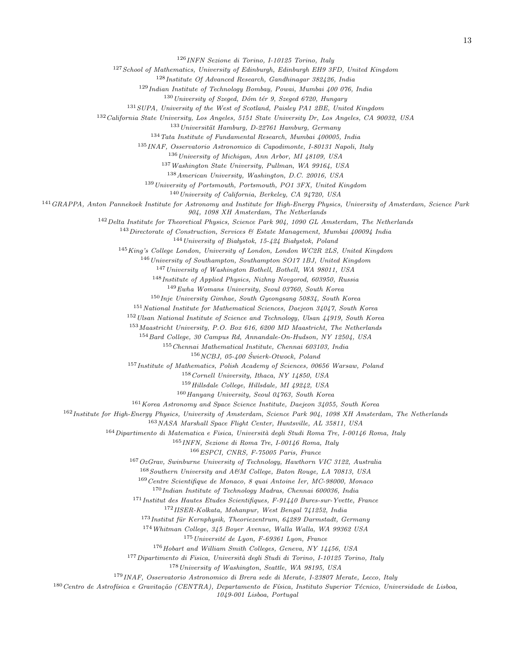INFN Sezione di Torino, I-10125 Torino, Italy

School of Mathematics, University of Edinburgh, Edinburgh EH9 3FD, United Kingdom

Institute Of Advanced Research, Gandhinagar 382426, India

Indian Institute of Technology Bombay, Powai, Mumbai 400 076, India

University of Szeged, Dóm tér 9, Szeged 6720, Hungary

<sup>131</sup> SUPA, University of the West of Scotland, Paisley PA1 2BE, United Kingdom

California State University, Los Angeles, 5151 State University Dr, Los Angeles, CA 90032, USA

Universität Hamburg, D-22761 Hamburg, Germany

Tata Institute of Fundamental Research, Mumbai 400005, India

INAF, Osservatorio Astronomico di Capodimonte, I-80131 Napoli, Italy

University of Michigan, Ann Arbor, MI 48109, USA

Washington State University, Pullman, WA 99164, USA

American University, Washington, D.C. 20016, USA

University of Portsmouth, Portsmouth, PO1 3FX, United Kingdom

University of California, Berkeley, CA 94720, USA

GRAPPA, Anton Pannekoek Institute for Astronomy and Institute for High-Energy Physics, University of Amsterdam, Science Park

904, 1098 XH Amsterdam, The Netherlands

Delta Institute for Theoretical Physics, Science Park 904, 1090 GL Amsterdam, The Netherlands

Directorate of Construction, Services & Estate Management, Mumbai 400094 India

University of Białystok, 15-424 Białystok, Poland

King's College London, University of London, London WC2R 2LS, United Kingdom

 $^{146}\,University$  of Southampton, Southampton SO17 1BJ, United Kingdom

University of Washington Bothell, Bothell, WA 98011, USA

Institute of Applied Physics, Nizhny Novgorod, 603950, Russia

Ewha Womans University, Seoul 03760, South Korea

Inje University Gimhae, South Gyeongsang 50834, South Korea

National Institute for Mathematical Sciences, Daejeon 34047, South Korea

Ulsan National Institute of Science and Technology, Ulsan 44919, South Korea

Maastricht University, P.O. Box 616, 6200 MD Maastricht, The Netherlands

Bard College, 30 Campus Rd, Annandale-On-Hudson, NY 12504, USA

Chennai Mathematical Institute, Chennai 603103, India

 $156 NCBJ$ , 05-400 Swierk-Otwock, Poland

Institute of Mathematics, Polish Academy of Sciences, 00656 Warsaw, Poland

Cornell University, Ithaca, NY 14850, USA

Hillsdale College, Hillsdale, MI 49242, USA

Hanyang University, Seoul 04763, South Korea

Korea Astronomy and Space Science Institute, Daejeon 34055, South Korea

Institute for High-Energy Physics, University of Amsterdam, Science Park 904, 1098 XH Amsterdam, The Netherlands

NASA Marshall Space Flight Center, Huntsville, AL 35811, USA

Dipartimento di Matematica e Fisica, Università degli Studi Roma Tre, I-00146 Roma, Italy

INFN, Sezione di Roma Tre, I-00146 Roma, Italy

ESPCI, CNRS, F-75005 Paris, France

 $167OzGrav$ , Swinburne University of Technology, Hawthorn VIC 3122, Australia

Southern University and A&M College, Baton Rouge, LA 70813, USA

Centre Scientifique de Monaco, 8 quai Antoine Ier, MC-98000, Monaco

 $^{170}$ Indian Institute of Technology Madras, Chennai 600036, India

<sup>171</sup>Institut des Hautes Etudes Scientifiques, F-91440 Bures-sur-Yvette, France

IISER-Kolkata, Mohanpur, West Bengal 741252, India

Institut für Kernphysik, Theoriezentrum, 64289 Darmstadt, Germany

Whitman College, 345 Boyer Avenue, Walla Walla, WA 99362 USA

Université de Lyon, F-69361 Lyon, France

Hobart and William Smith Colleges, Geneva, NY 14456, USA

<sup>177</sup> Dipartimento di Fisica, Università degli Studi di Torino, I-10125 Torino, Italy

University of Washington, Seattle, WA 98195, USA

INAF, Osservatorio Astronomico di Brera sede di Merate, I-23807 Merate, Lecco, Italy

180 Centro de Astrofísica e Gravitação (CENTRA), Departamento de Física, Instituto Superior Técnico, Universidade de Lisboa,

1049-001 Lisboa, Portugal